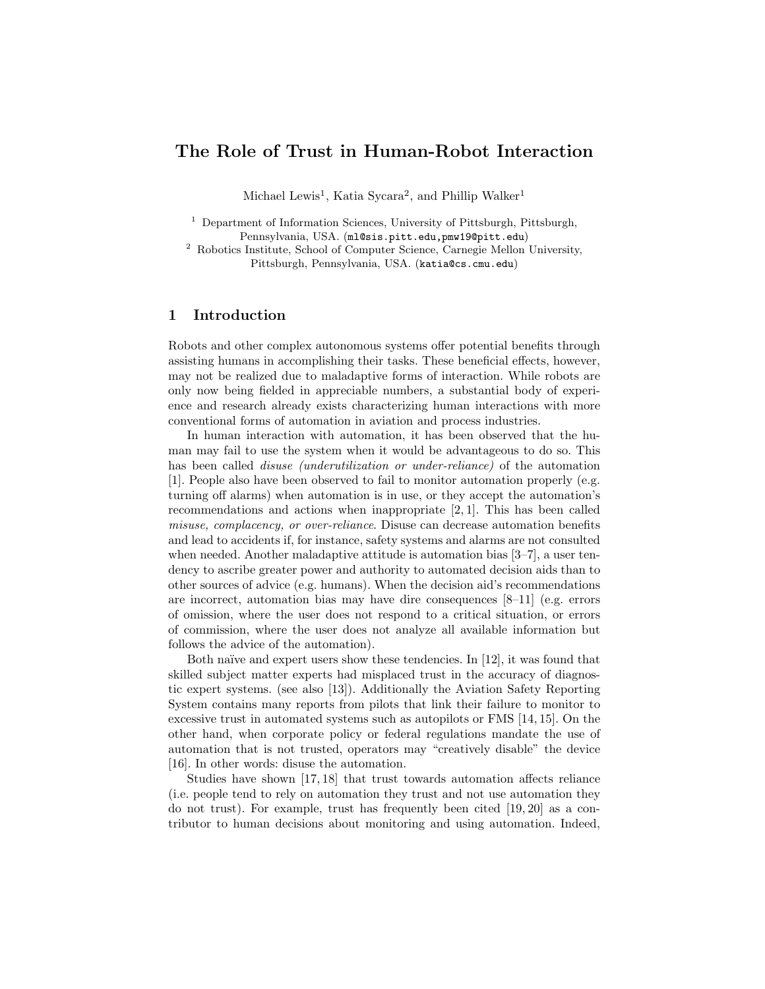# The Role of Trust in Human-Robot Interaction

Michael Lewis<sup>1</sup>, Katia Sycara<sup>2</sup>, and Phillip Walker<sup>1</sup>

<sup>1</sup> Department of Information Sciences, University of Pittsburgh, Pittsburgh, Pennsylvania, USA. (ml@sis.pitt.edu,pmw19@pitt.edu)

<sup>2</sup> Robotics Institute, School of Computer Science, Carnegie Mellon University, Pittsburgh, Pennsylvania, USA. (katia@cs.cmu.edu)

# 1 Introduction

Robots and other complex autonomous systems offer potential benefits through assisting humans in accomplishing their tasks. These beneficial effects, however, may not be realized due to maladaptive forms of interaction. While robots are only now being fielded in appreciable numbers, a substantial body of experience and research already exists characterizing human interactions with more conventional forms of automation in aviation and process industries.

In human interaction with automation, it has been observed that the human may fail to use the system when it would be advantageous to do so. This has been called disuse (underutilization or under-reliance) of the automation [1]. People also have been observed to fail to monitor automation properly (e.g. turning off alarms) when automation is in use, or they accept the automation's recommendations and actions when inappropriate [2, 1]. This has been called misuse, complacency, or over-reliance. Disuse can decrease automation benefits and lead to accidents if, for instance, safety systems and alarms are not consulted when needed. Another maladaptive attitude is automation bias [3–7], a user tendency to ascribe greater power and authority to automated decision aids than to other sources of advice (e.g. humans). When the decision aid's recommendations are incorrect, automation bias may have dire consequences [8–11] (e.g. errors of omission, where the user does not respond to a critical situation, or errors of commission, where the user does not analyze all available information but follows the advice of the automation).

Both naïve and expert users show these tendencies. In [12], it was found that skilled subject matter experts had misplaced trust in the accuracy of diagnostic expert systems. (see also [13]). Additionally the Aviation Safety Reporting System contains many reports from pilots that link their failure to monitor to excessive trust in automated systems such as autopilots or FMS [14, 15]. On the other hand, when corporate policy or federal regulations mandate the use of automation that is not trusted, operators may "creatively disable" the device [16]. In other words: disuse the automation.

Studies have shown [17, 18] that trust towards automation affects reliance (i.e. people tend to rely on automation they trust and not use automation they do not trust). For example, trust has frequently been cited [19, 20] as a contributor to human decisions about monitoring and using automation. Indeed,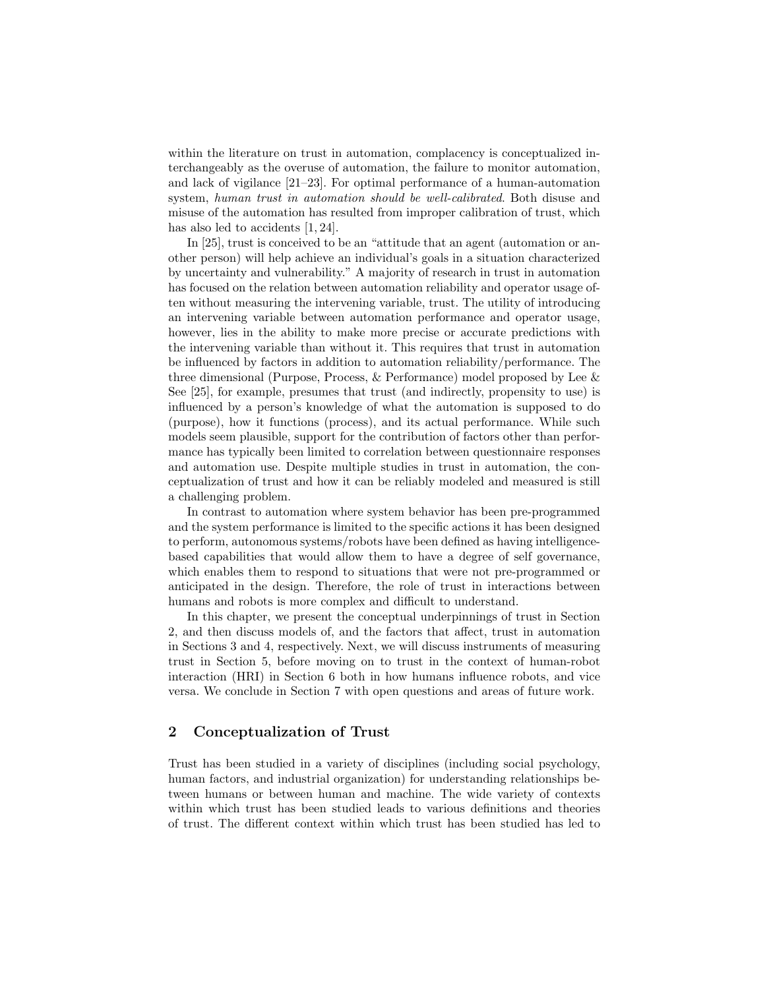within the literature on trust in automation, complacency is conceptualized interchangeably as the overuse of automation, the failure to monitor automation, and lack of vigilance [21–23]. For optimal performance of a human-automation system, human trust in automation should be well-calibrated. Both disuse and misuse of the automation has resulted from improper calibration of trust, which has also led to accidents [1, 24].

In [25], trust is conceived to be an "attitude that an agent (automation or another person) will help achieve an individual's goals in a situation characterized by uncertainty and vulnerability." A majority of research in trust in automation has focused on the relation between automation reliability and operator usage often without measuring the intervening variable, trust. The utility of introducing an intervening variable between automation performance and operator usage, however, lies in the ability to make more precise or accurate predictions with the intervening variable than without it. This requires that trust in automation be influenced by factors in addition to automation reliability/performance. The three dimensional (Purpose, Process, & Performance) model proposed by Lee & See [25], for example, presumes that trust (and indirectly, propensity to use) is influenced by a person's knowledge of what the automation is supposed to do (purpose), how it functions (process), and its actual performance. While such models seem plausible, support for the contribution of factors other than performance has typically been limited to correlation between questionnaire responses and automation use. Despite multiple studies in trust in automation, the conceptualization of trust and how it can be reliably modeled and measured is still a challenging problem.

In contrast to automation where system behavior has been pre-programmed and the system performance is limited to the specific actions it has been designed to perform, autonomous systems/robots have been defined as having intelligencebased capabilities that would allow them to have a degree of self governance, which enables them to respond to situations that were not pre-programmed or anticipated in the design. Therefore, the role of trust in interactions between humans and robots is more complex and difficult to understand.

In this chapter, we present the conceptual underpinnings of trust in Section 2, and then discuss models of, and the factors that affect, trust in automation in Sections 3 and 4, respectively. Next, we will discuss instruments of measuring trust in Section 5, before moving on to trust in the context of human-robot interaction (HRI) in Section 6 both in how humans influence robots, and vice versa. We conclude in Section 7 with open questions and areas of future work.

# 2 Conceptualization of Trust

Trust has been studied in a variety of disciplines (including social psychology, human factors, and industrial organization) for understanding relationships between humans or between human and machine. The wide variety of contexts within which trust has been studied leads to various definitions and theories of trust. The different context within which trust has been studied has led to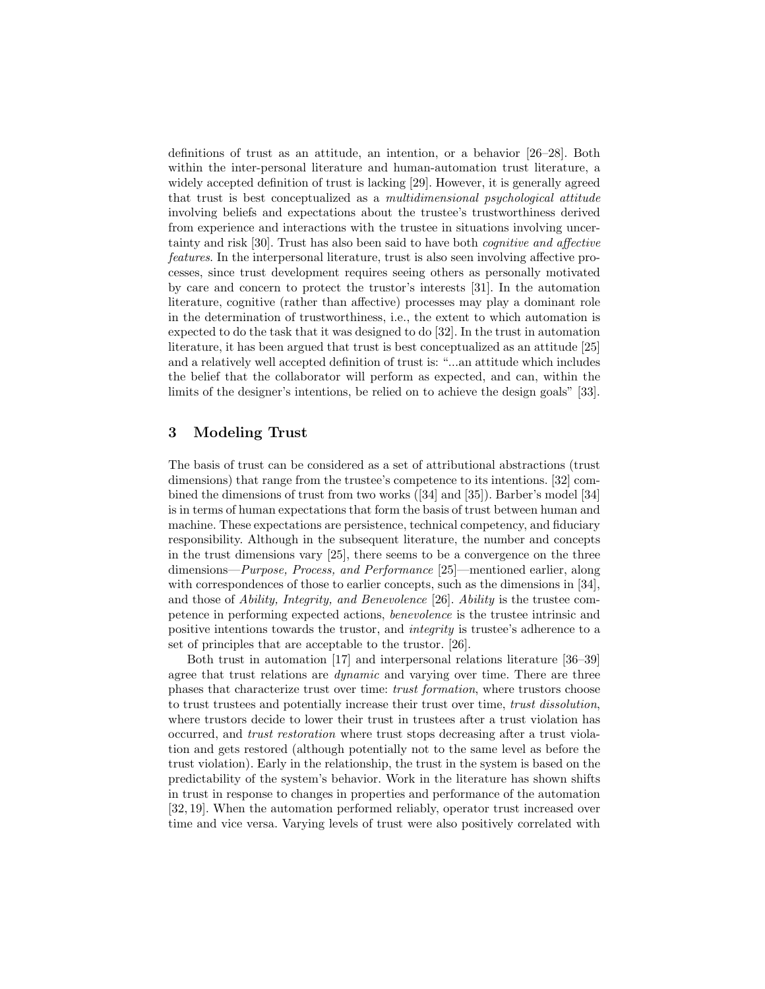definitions of trust as an attitude, an intention, or a behavior [26–28]. Both within the inter-personal literature and human-automation trust literature, a widely accepted definition of trust is lacking [29]. However, it is generally agreed that trust is best conceptualized as a multidimensional psychological attitude involving beliefs and expectations about the trustee's trustworthiness derived from experience and interactions with the trustee in situations involving uncertainty and risk [30]. Trust has also been said to have both cognitive and affective features. In the interpersonal literature, trust is also seen involving affective processes, since trust development requires seeing others as personally motivated by care and concern to protect the trustor's interests [31]. In the automation literature, cognitive (rather than affective) processes may play a dominant role in the determination of trustworthiness, i.e., the extent to which automation is expected to do the task that it was designed to do [32]. In the trust in automation literature, it has been argued that trust is best conceptualized as an attitude [25] and a relatively well accepted definition of trust is: "...an attitude which includes the belief that the collaborator will perform as expected, and can, within the limits of the designer's intentions, be relied on to achieve the design goals" [33].

# 3 Modeling Trust

The basis of trust can be considered as a set of attributional abstractions (trust dimensions) that range from the trustee's competence to its intentions. [32] combined the dimensions of trust from two works ([34] and [35]). Barber's model [34] is in terms of human expectations that form the basis of trust between human and machine. These expectations are persistence, technical competency, and fiduciary responsibility. Although in the subsequent literature, the number and concepts in the trust dimensions vary [25], there seems to be a convergence on the three dimensions—Purpose, Process, and Performance [25]—mentioned earlier, along with correspondences of those to earlier concepts, such as the dimensions in [34], and those of Ability, Integrity, and Benevolence [26]. Ability is the trustee competence in performing expected actions, benevolence is the trustee intrinsic and positive intentions towards the trustor, and integrity is trustee's adherence to a set of principles that are acceptable to the trustor. [26].

Both trust in automation [17] and interpersonal relations literature [36–39] agree that trust relations are dynamic and varying over time. There are three phases that characterize trust over time: trust formation, where trustors choose to trust trustees and potentially increase their trust over time, trust dissolution, where trustors decide to lower their trust in trustees after a trust violation has occurred, and trust restoration where trust stops decreasing after a trust violation and gets restored (although potentially not to the same level as before the trust violation). Early in the relationship, the trust in the system is based on the predictability of the system's behavior. Work in the literature has shown shifts in trust in response to changes in properties and performance of the automation [32, 19]. When the automation performed reliably, operator trust increased over time and vice versa. Varying levels of trust were also positively correlated with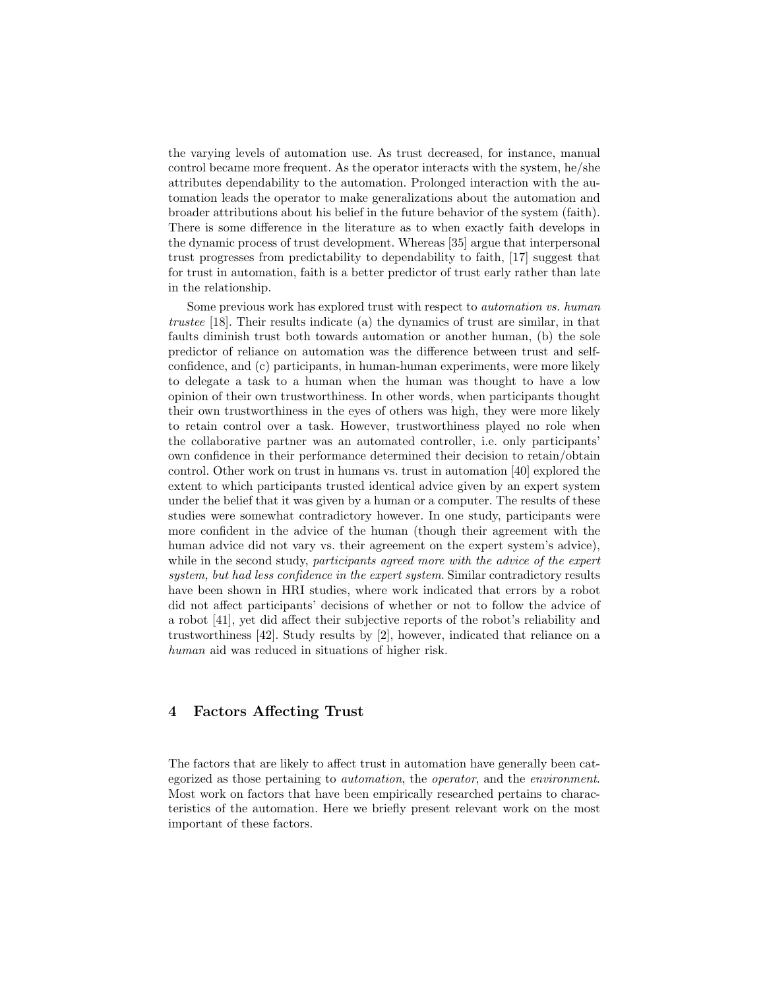the varying levels of automation use. As trust decreased, for instance, manual control became more frequent. As the operator interacts with the system, he/she attributes dependability to the automation. Prolonged interaction with the automation leads the operator to make generalizations about the automation and broader attributions about his belief in the future behavior of the system (faith). There is some difference in the literature as to when exactly faith develops in the dynamic process of trust development. Whereas [35] argue that interpersonal trust progresses from predictability to dependability to faith, [17] suggest that for trust in automation, faith is a better predictor of trust early rather than late in the relationship.

Some previous work has explored trust with respect to automation vs. human trustee [18]. Their results indicate (a) the dynamics of trust are similar, in that faults diminish trust both towards automation or another human, (b) the sole predictor of reliance on automation was the difference between trust and selfconfidence, and (c) participants, in human-human experiments, were more likely to delegate a task to a human when the human was thought to have a low opinion of their own trustworthiness. In other words, when participants thought their own trustworthiness in the eyes of others was high, they were more likely to retain control over a task. However, trustworthiness played no role when the collaborative partner was an automated controller, i.e. only participants' own confidence in their performance determined their decision to retain/obtain control. Other work on trust in humans vs. trust in automation [40] explored the extent to which participants trusted identical advice given by an expert system under the belief that it was given by a human or a computer. The results of these studies were somewhat contradictory however. In one study, participants were more confident in the advice of the human (though their agreement with the human advice did not vary vs. their agreement on the expert system's advice), while in the second study, participants agreed more with the advice of the expert system, but had less confidence in the expert system. Similar contradictory results have been shown in HRI studies, where work indicated that errors by a robot did not affect participants' decisions of whether or not to follow the advice of a robot [41], yet did affect their subjective reports of the robot's reliability and trustworthiness [42]. Study results by [2], however, indicated that reliance on a human aid was reduced in situations of higher risk.

### 4 Factors Affecting Trust

The factors that are likely to affect trust in automation have generally been categorized as those pertaining to automation, the operator, and the environment. Most work on factors that have been empirically researched pertains to characteristics of the automation. Here we briefly present relevant work on the most important of these factors.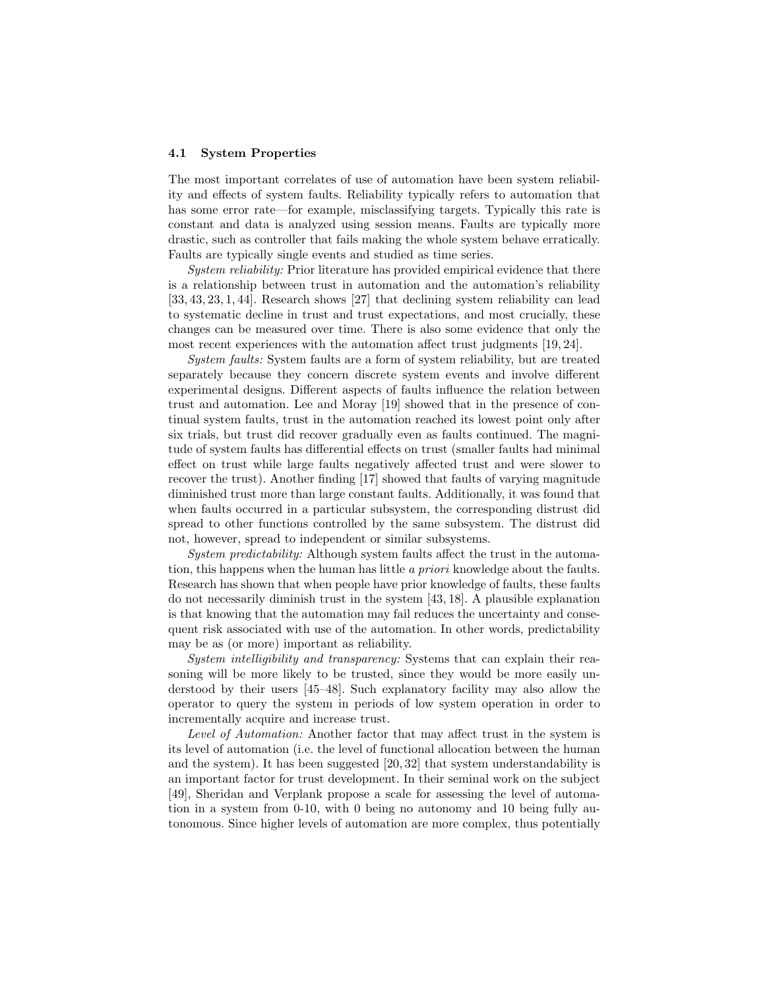#### 4.1 System Properties

The most important correlates of use of automation have been system reliability and effects of system faults. Reliability typically refers to automation that has some error rate—for example, misclassifying targets. Typically this rate is constant and data is analyzed using session means. Faults are typically more drastic, such as controller that fails making the whole system behave erratically. Faults are typically single events and studied as time series.

System reliability: Prior literature has provided empirical evidence that there is a relationship between trust in automation and the automation's reliability [33, 43, 23, 1, 44]. Research shows [27] that declining system reliability can lead to systematic decline in trust and trust expectations, and most crucially, these changes can be measured over time. There is also some evidence that only the most recent experiences with the automation affect trust judgments [19, 24].

System faults: System faults are a form of system reliability, but are treated separately because they concern discrete system events and involve different experimental designs. Different aspects of faults influence the relation between trust and automation. Lee and Moray [19] showed that in the presence of continual system faults, trust in the automation reached its lowest point only after six trials, but trust did recover gradually even as faults continued. The magnitude of system faults has differential effects on trust (smaller faults had minimal effect on trust while large faults negatively affected trust and were slower to recover the trust). Another finding [17] showed that faults of varying magnitude diminished trust more than large constant faults. Additionally, it was found that when faults occurred in a particular subsystem, the corresponding distrust did spread to other functions controlled by the same subsystem. The distrust did not, however, spread to independent or similar subsystems.

System predictability: Although system faults affect the trust in the automation, this happens when the human has little a priori knowledge about the faults. Research has shown that when people have prior knowledge of faults, these faults do not necessarily diminish trust in the system [43, 18]. A plausible explanation is that knowing that the automation may fail reduces the uncertainty and consequent risk associated with use of the automation. In other words, predictability may be as (or more) important as reliability.

System intelligibility and transparency: Systems that can explain their reasoning will be more likely to be trusted, since they would be more easily understood by their users [45–48]. Such explanatory facility may also allow the operator to query the system in periods of low system operation in order to incrementally acquire and increase trust.

Level of Automation: Another factor that may affect trust in the system is its level of automation (i.e. the level of functional allocation between the human and the system). It has been suggested [20, 32] that system understandability is an important factor for trust development. In their seminal work on the subject [49], Sheridan and Verplank propose a scale for assessing the level of automation in a system from 0-10, with 0 being no autonomy and 10 being fully autonomous. Since higher levels of automation are more complex, thus potentially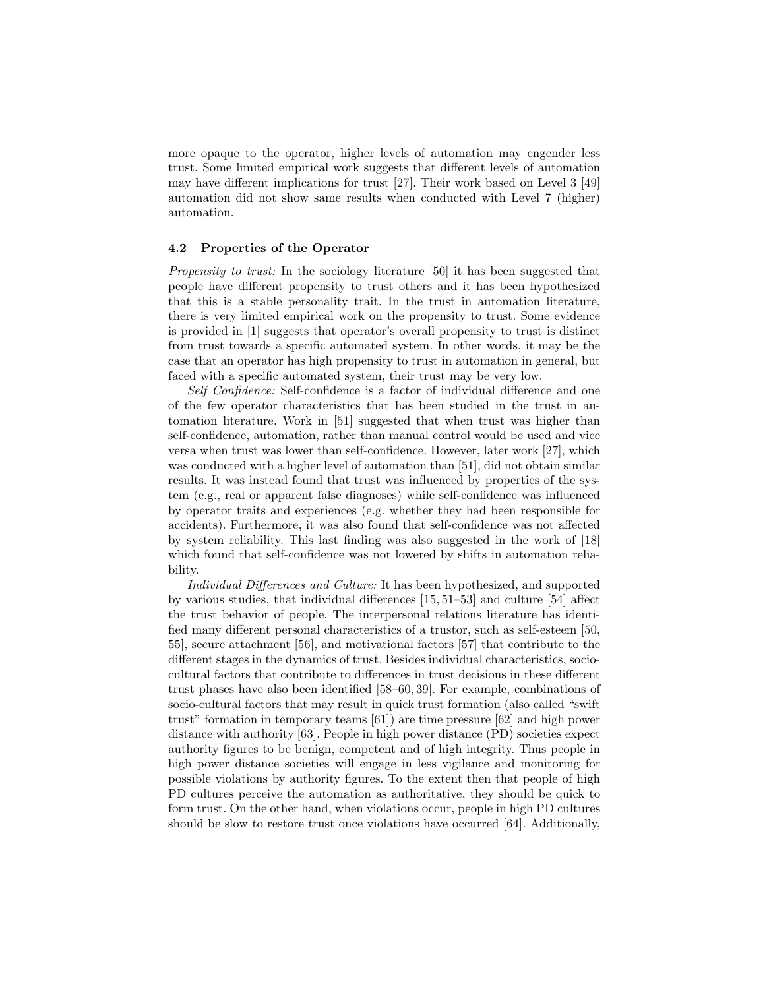more opaque to the operator, higher levels of automation may engender less trust. Some limited empirical work suggests that different levels of automation may have different implications for trust  $[27]$ . Their work based on Level 3  $[49]$ automation did not show same results when conducted with Level 7 (higher) automation.

#### 4.2 Properties of the Operator

Propensity to trust: In the sociology literature [50] it has been suggested that people have different propensity to trust others and it has been hypothesized that this is a stable personality trait. In the trust in automation literature, there is very limited empirical work on the propensity to trust. Some evidence is provided in [1] suggests that operator's overall propensity to trust is distinct from trust towards a specific automated system. In other words, it may be the case that an operator has high propensity to trust in automation in general, but faced with a specific automated system, their trust may be very low.

Self Confidence: Self-confidence is a factor of individual difference and one of the few operator characteristics that has been studied in the trust in automation literature. Work in [51] suggested that when trust was higher than self-confidence, automation, rather than manual control would be used and vice versa when trust was lower than self-confidence. However, later work [27], which was conducted with a higher level of automation than [51], did not obtain similar results. It was instead found that trust was influenced by properties of the system (e.g., real or apparent false diagnoses) while self-confidence was influenced by operator traits and experiences (e.g. whether they had been responsible for accidents). Furthermore, it was also found that self-confidence was not affected by system reliability. This last finding was also suggested in the work of [18] which found that self-confidence was not lowered by shifts in automation reliability.

Individual Differences and Culture: It has been hypothesized, and supported by various studies, that individual differences [15, 51–53] and culture [54] affect the trust behavior of people. The interpersonal relations literature has identified many different personal characteristics of a trustor, such as self-esteem [50, 55], secure attachment [56], and motivational factors [57] that contribute to the different stages in the dynamics of trust. Besides individual characteristics, sociocultural factors that contribute to differences in trust decisions in these different trust phases have also been identified [58–60, 39]. For example, combinations of socio-cultural factors that may result in quick trust formation (also called "swift trust" formation in temporary teams [61]) are time pressure [62] and high power distance with authority [63]. People in high power distance (PD) societies expect authority figures to be benign, competent and of high integrity. Thus people in high power distance societies will engage in less vigilance and monitoring for possible violations by authority figures. To the extent then that people of high PD cultures perceive the automation as authoritative, they should be quick to form trust. On the other hand, when violations occur, people in high PD cultures should be slow to restore trust once violations have occurred [64]. Additionally,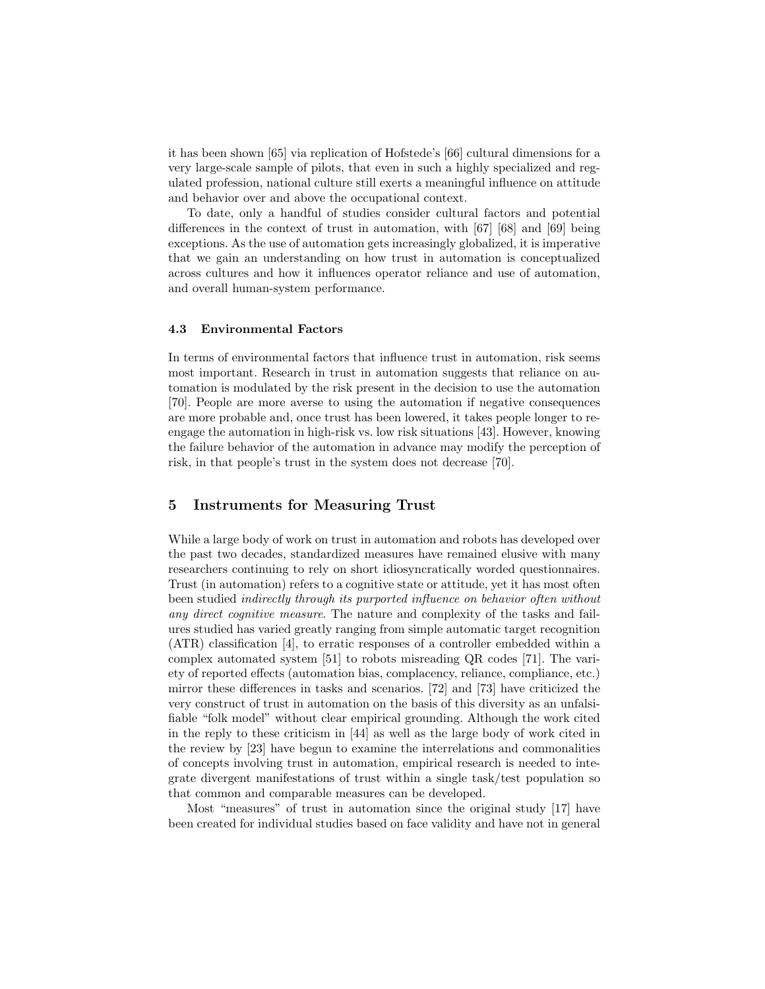it has been shown [65] via replication of Hofstede's [66] cultural dimensions for a very large-scale sample of pilots, that even in such a highly specialized and regulated profession, national culture still exerts a meaningful influence on attitude and behavior over and above the occupational context.

To date, only a handful of studies consider cultural factors and potential differences in the context of trust in automation, with [67] [68] and [69] being exceptions. As the use of automation gets increasingly globalized, it is imperative that we gain an understanding on how trust in automation is conceptualized across cultures and how it influences operator reliance and use of automation, and overall human-system performance.

### 4.3 Environmental Factors

In terms of environmental factors that influence trust in automation, risk seems most important. Research in trust in automation suggests that reliance on automation is modulated by the risk present in the decision to use the automation [70]. People are more averse to using the automation if negative consequences are more probable and, once trust has been lowered, it takes people longer to reengage the automation in high-risk vs. low risk situations [43]. However, knowing the failure behavior of the automation in advance may modify the perception of risk, in that people's trust in the system does not decrease [70].

# 5 Instruments for Measuring Trust

While a large body of work on trust in automation and robots has developed over the past two decades, standardized measures have remained elusive with many researchers continuing to rely on short idiosyncratically worded questionnaires. Trust (in automation) refers to a cognitive state or attitude, yet it has most often been studied indirectly through its purported influence on behavior often without any direct cognitive measure. The nature and complexity of the tasks and failures studied has varied greatly ranging from simple automatic target recognition (ATR) classification [4], to erratic responses of a controller embedded within a complex automated system [51] to robots misreading QR codes [71]. The variety of reported effects (automation bias, complacency, reliance, compliance, etc.) mirror these differences in tasks and scenarios. [72] and [73] have criticized the very construct of trust in automation on the basis of this diversity as an unfalsifiable "folk model" without clear empirical grounding. Although the work cited in the reply to these criticism in [44] as well as the large body of work cited in the review by [23] have begun to examine the interrelations and commonalities of concepts involving trust in automation, empirical research is needed to integrate divergent manifestations of trust within a single task/test population so that common and comparable measures can be developed.

Most "measures" of trust in automation since the original study [17] have been created for individual studies based on face validity and have not in general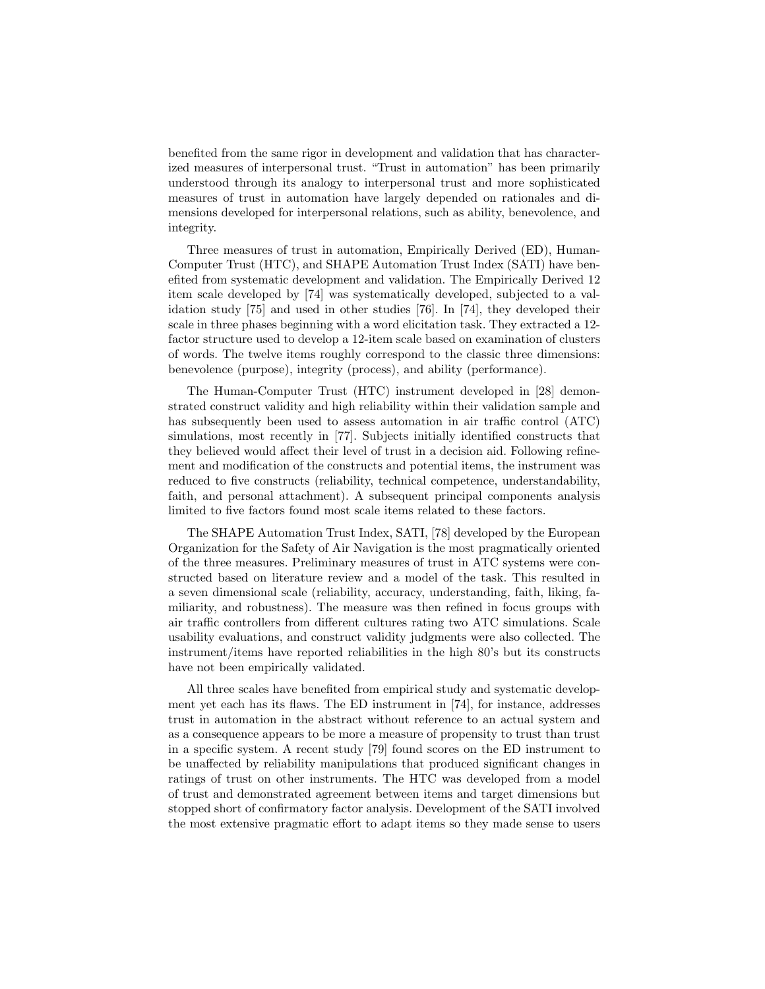benefited from the same rigor in development and validation that has characterized measures of interpersonal trust. "Trust in automation" has been primarily understood through its analogy to interpersonal trust and more sophisticated measures of trust in automation have largely depended on rationales and dimensions developed for interpersonal relations, such as ability, benevolence, and integrity.

Three measures of trust in automation, Empirically Derived (ED), Human-Computer Trust (HTC), and SHAPE Automation Trust Index (SATI) have benefited from systematic development and validation. The Empirically Derived 12 item scale developed by [74] was systematically developed, subjected to a validation study [75] and used in other studies [76]. In [74], they developed their scale in three phases beginning with a word elicitation task. They extracted a 12 factor structure used to develop a 12-item scale based on examination of clusters of words. The twelve items roughly correspond to the classic three dimensions: benevolence (purpose), integrity (process), and ability (performance).

The Human-Computer Trust (HTC) instrument developed in [28] demonstrated construct validity and high reliability within their validation sample and has subsequently been used to assess automation in air traffic control (ATC) simulations, most recently in [77]. Subjects initially identified constructs that they believed would affect their level of trust in a decision aid. Following refinement and modification of the constructs and potential items, the instrument was reduced to five constructs (reliability, technical competence, understandability, faith, and personal attachment). A subsequent principal components analysis limited to five factors found most scale items related to these factors.

The SHAPE Automation Trust Index, SATI, [78] developed by the European Organization for the Safety of Air Navigation is the most pragmatically oriented of the three measures. Preliminary measures of trust in ATC systems were constructed based on literature review and a model of the task. This resulted in a seven dimensional scale (reliability, accuracy, understanding, faith, liking, familiarity, and robustness). The measure was then refined in focus groups with air traffic controllers from different cultures rating two ATC simulations. Scale usability evaluations, and construct validity judgments were also collected. The instrument/items have reported reliabilities in the high 80's but its constructs have not been empirically validated.

All three scales have benefited from empirical study and systematic development yet each has its flaws. The ED instrument in [74], for instance, addresses trust in automation in the abstract without reference to an actual system and as a consequence appears to be more a measure of propensity to trust than trust in a specific system. A recent study [79] found scores on the ED instrument to be unaffected by reliability manipulations that produced significant changes in ratings of trust on other instruments. The HTC was developed from a model of trust and demonstrated agreement between items and target dimensions but stopped short of confirmatory factor analysis. Development of the SATI involved the most extensive pragmatic effort to adapt items so they made sense to users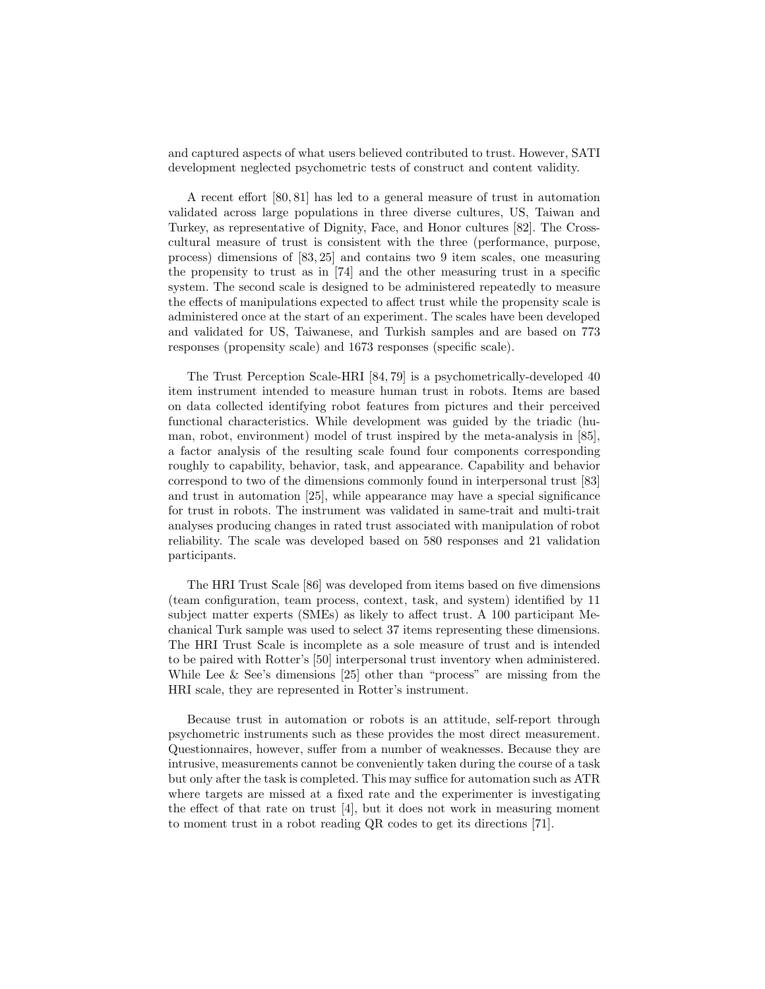and captured aspects of what users believed contributed to trust. However, SATI development neglected psychometric tests of construct and content validity.

A recent effort [80, 81] has led to a general measure of trust in automation validated across large populations in three diverse cultures, US, Taiwan and Turkey, as representative of Dignity, Face, and Honor cultures [82]. The Crosscultural measure of trust is consistent with the three (performance, purpose, process) dimensions of [83, 25] and contains two 9 item scales, one measuring the propensity to trust as in [74] and the other measuring trust in a specific system. The second scale is designed to be administered repeatedly to measure the effects of manipulations expected to affect trust while the propensity scale is administered once at the start of an experiment. The scales have been developed and validated for US, Taiwanese, and Turkish samples and are based on 773 responses (propensity scale) and 1673 responses (specific scale).

The Trust Perception Scale-HRI [84, 79] is a psychometrically-developed 40 item instrument intended to measure human trust in robots. Items are based on data collected identifying robot features from pictures and their perceived functional characteristics. While development was guided by the triadic (human, robot, environment) model of trust inspired by the meta-analysis in [85], a factor analysis of the resulting scale found four components corresponding roughly to capability, behavior, task, and appearance. Capability and behavior correspond to two of the dimensions commonly found in interpersonal trust [83] and trust in automation [25], while appearance may have a special significance for trust in robots. The instrument was validated in same-trait and multi-trait analyses producing changes in rated trust associated with manipulation of robot reliability. The scale was developed based on 580 responses and 21 validation participants.

The HRI Trust Scale [86] was developed from items based on five dimensions (team configuration, team process, context, task, and system) identified by 11 subject matter experts (SMEs) as likely to affect trust. A 100 participant Mechanical Turk sample was used to select 37 items representing these dimensions. The HRI Trust Scale is incomplete as a sole measure of trust and is intended to be paired with Rotter's [50] interpersonal trust inventory when administered. While Lee & See's dimensions [25] other than "process" are missing from the HRI scale, they are represented in Rotter's instrument.

Because trust in automation or robots is an attitude, self-report through psychometric instruments such as these provides the most direct measurement. Questionnaires, however, suffer from a number of weaknesses. Because they are intrusive, measurements cannot be conveniently taken during the course of a task but only after the task is completed. This may suffice for automation such as ATR where targets are missed at a fixed rate and the experimenter is investigating the effect of that rate on trust [4], but it does not work in measuring moment to moment trust in a robot reading QR codes to get its directions [71].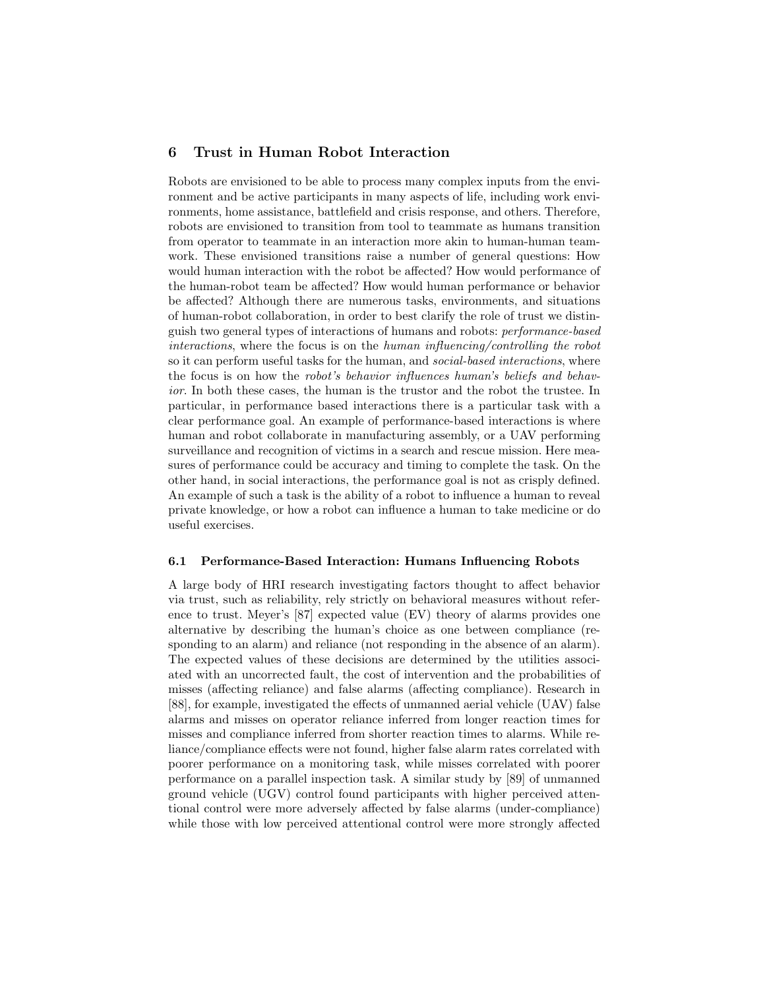# 6 Trust in Human Robot Interaction

Robots are envisioned to be able to process many complex inputs from the environment and be active participants in many aspects of life, including work environments, home assistance, battlefield and crisis response, and others. Therefore, robots are envisioned to transition from tool to teammate as humans transition from operator to teammate in an interaction more akin to human-human teamwork. These envisioned transitions raise a number of general questions: How would human interaction with the robot be affected? How would performance of the human-robot team be affected? How would human performance or behavior be affected? Although there are numerous tasks, environments, and situations of human-robot collaboration, in order to best clarify the role of trust we distinguish two general types of interactions of humans and robots: performance-based interactions, where the focus is on the human influencing/controlling the robot so it can perform useful tasks for the human, and social-based interactions, where the focus is on how the robot's behavior influences human's beliefs and behavior. In both these cases, the human is the trustor and the robot the trustee. In particular, in performance based interactions there is a particular task with a clear performance goal. An example of performance-based interactions is where human and robot collaborate in manufacturing assembly, or a UAV performing surveillance and recognition of victims in a search and rescue mission. Here measures of performance could be accuracy and timing to complete the task. On the other hand, in social interactions, the performance goal is not as crisply defined. An example of such a task is the ability of a robot to influence a human to reveal private knowledge, or how a robot can influence a human to take medicine or do useful exercises.

#### 6.1 Performance-Based Interaction: Humans Influencing Robots

A large body of HRI research investigating factors thought to affect behavior via trust, such as reliability, rely strictly on behavioral measures without reference to trust. Meyer's [87] expected value (EV) theory of alarms provides one alternative by describing the human's choice as one between compliance (responding to an alarm) and reliance (not responding in the absence of an alarm). The expected values of these decisions are determined by the utilities associated with an uncorrected fault, the cost of intervention and the probabilities of misses (affecting reliance) and false alarms (affecting compliance). Research in [88], for example, investigated the effects of unmanned aerial vehicle (UAV) false alarms and misses on operator reliance inferred from longer reaction times for misses and compliance inferred from shorter reaction times to alarms. While reliance/compliance effects were not found, higher false alarm rates correlated with poorer performance on a monitoring task, while misses correlated with poorer performance on a parallel inspection task. A similar study by [89] of unmanned ground vehicle (UGV) control found participants with higher perceived attentional control were more adversely affected by false alarms (under-compliance) while those with low perceived attentional control were more strongly affected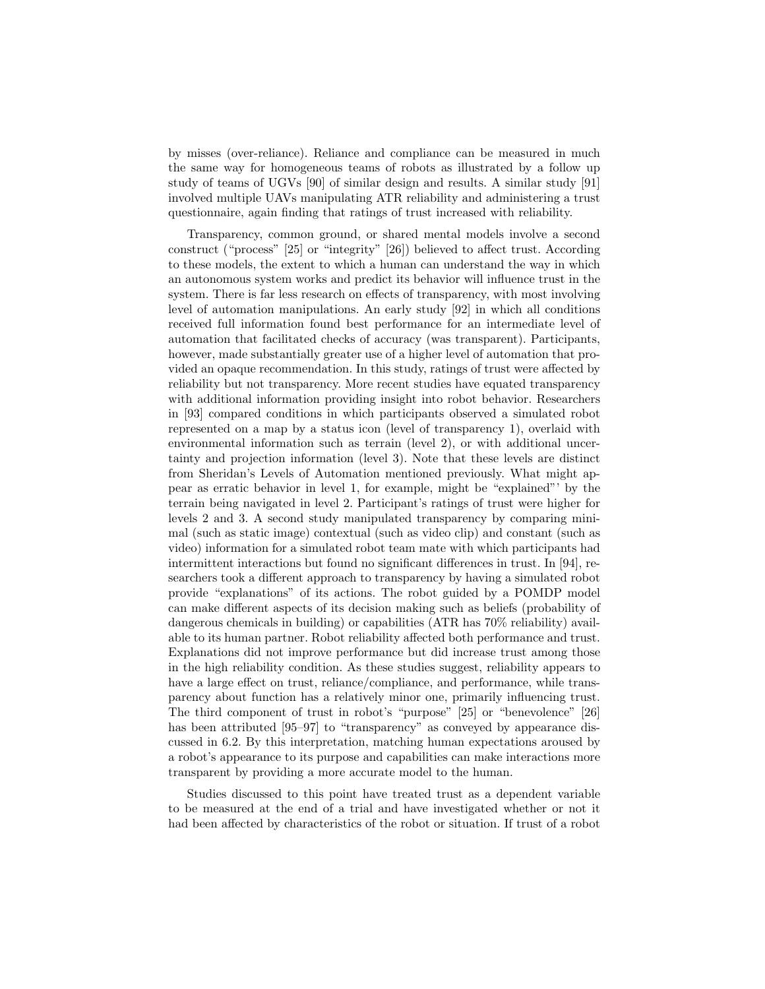by misses (over-reliance). Reliance and compliance can be measured in much the same way for homogeneous teams of robots as illustrated by a follow up study of teams of UGVs [90] of similar design and results. A similar study [91] involved multiple UAVs manipulating ATR reliability and administering a trust questionnaire, again finding that ratings of trust increased with reliability.

Transparency, common ground, or shared mental models involve a second construct ("process" [25] or "integrity" [26]) believed to affect trust. According to these models, the extent to which a human can understand the way in which an autonomous system works and predict its behavior will influence trust in the system. There is far less research on effects of transparency, with most involving level of automation manipulations. An early study [92] in which all conditions received full information found best performance for an intermediate level of automation that facilitated checks of accuracy (was transparent). Participants, however, made substantially greater use of a higher level of automation that provided an opaque recommendation. In this study, ratings of trust were affected by reliability but not transparency. More recent studies have equated transparency with additional information providing insight into robot behavior. Researchers in [93] compared conditions in which participants observed a simulated robot represented on a map by a status icon (level of transparency 1), overlaid with environmental information such as terrain (level 2), or with additional uncertainty and projection information (level 3). Note that these levels are distinct from Sheridan's Levels of Automation mentioned previously. What might appear as erratic behavior in level 1, for example, might be "explained"' by the terrain being navigated in level 2. Participant's ratings of trust were higher for levels 2 and 3. A second study manipulated transparency by comparing minimal (such as static image) contextual (such as video clip) and constant (such as video) information for a simulated robot team mate with which participants had intermittent interactions but found no significant differences in trust. In [94], researchers took a different approach to transparency by having a simulated robot provide "explanations" of its actions. The robot guided by a POMDP model can make different aspects of its decision making such as beliefs (probability of dangerous chemicals in building) or capabilities (ATR has 70% reliability) available to its human partner. Robot reliability affected both performance and trust. Explanations did not improve performance but did increase trust among those in the high reliability condition. As these studies suggest, reliability appears to have a large effect on trust, reliance/compliance, and performance, while transparency about function has a relatively minor one, primarily influencing trust. The third component of trust in robot's "purpose" [25] or "benevolence" [26] has been attributed [95–97] to "transparency" as conveyed by appearance discussed in 6.2. By this interpretation, matching human expectations aroused by a robot's appearance to its purpose and capabilities can make interactions more transparent by providing a more accurate model to the human.

Studies discussed to this point have treated trust as a dependent variable to be measured at the end of a trial and have investigated whether or not it had been affected by characteristics of the robot or situation. If trust of a robot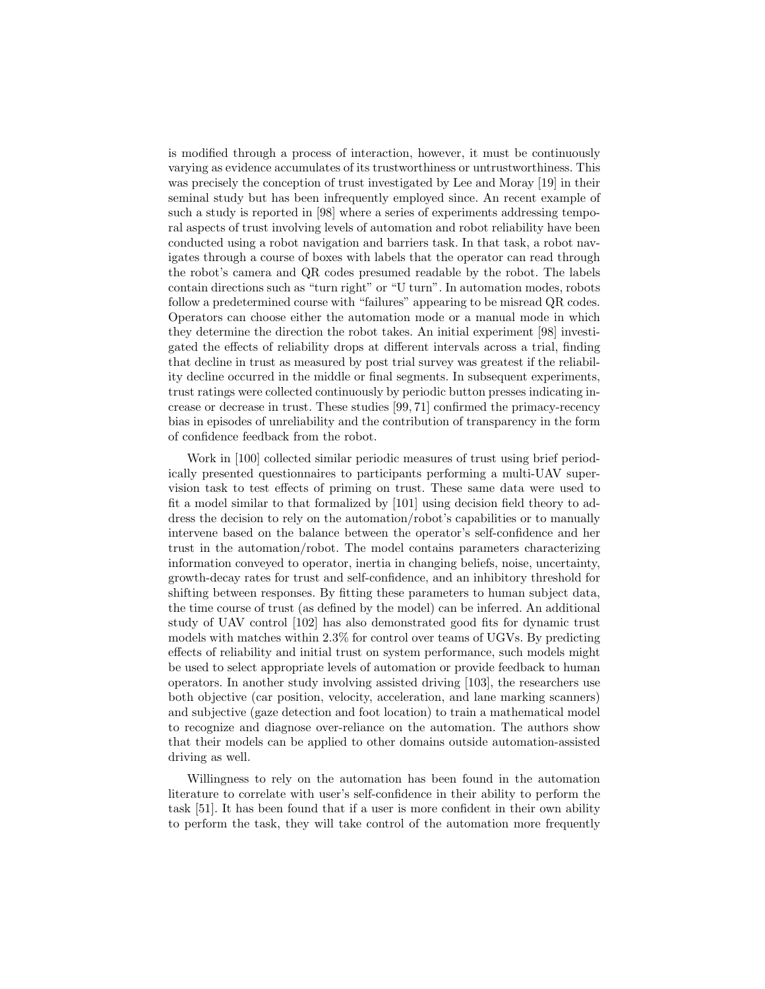is modified through a process of interaction, however, it must be continuously varying as evidence accumulates of its trustworthiness or untrustworthiness. This was precisely the conception of trust investigated by Lee and Moray [19] in their seminal study but has been infrequently employed since. An recent example of such a study is reported in [98] where a series of experiments addressing temporal aspects of trust involving levels of automation and robot reliability have been conducted using a robot navigation and barriers task. In that task, a robot navigates through a course of boxes with labels that the operator can read through the robot's camera and QR codes presumed readable by the robot. The labels contain directions such as "turn right" or "U turn". In automation modes, robots follow a predetermined course with "failures" appearing to be misread QR codes. Operators can choose either the automation mode or a manual mode in which they determine the direction the robot takes. An initial experiment [98] investigated the effects of reliability drops at different intervals across a trial, finding that decline in trust as measured by post trial survey was greatest if the reliability decline occurred in the middle or final segments. In subsequent experiments, trust ratings were collected continuously by periodic button presses indicating increase or decrease in trust. These studies [99, 71] confirmed the primacy-recency bias in episodes of unreliability and the contribution of transparency in the form of confidence feedback from the robot.

Work in [100] collected similar periodic measures of trust using brief periodically presented questionnaires to participants performing a multi-UAV supervision task to test effects of priming on trust. These same data were used to fit a model similar to that formalized by [101] using decision field theory to address the decision to rely on the automation/robot's capabilities or to manually intervene based on the balance between the operator's self-confidence and her trust in the automation/robot. The model contains parameters characterizing information conveyed to operator, inertia in changing beliefs, noise, uncertainty, growth-decay rates for trust and self-confidence, and an inhibitory threshold for shifting between responses. By fitting these parameters to human subject data, the time course of trust (as defined by the model) can be inferred. An additional study of UAV control [102] has also demonstrated good fits for dynamic trust models with matches within 2.3% for control over teams of UGVs. By predicting effects of reliability and initial trust on system performance, such models might be used to select appropriate levels of automation or provide feedback to human operators. In another study involving assisted driving [103], the researchers use both objective (car position, velocity, acceleration, and lane marking scanners) and subjective (gaze detection and foot location) to train a mathematical model to recognize and diagnose over-reliance on the automation. The authors show that their models can be applied to other domains outside automation-assisted driving as well.

Willingness to rely on the automation has been found in the automation literature to correlate with user's self-confidence in their ability to perform the task [51]. It has been found that if a user is more confident in their own ability to perform the task, they will take control of the automation more frequently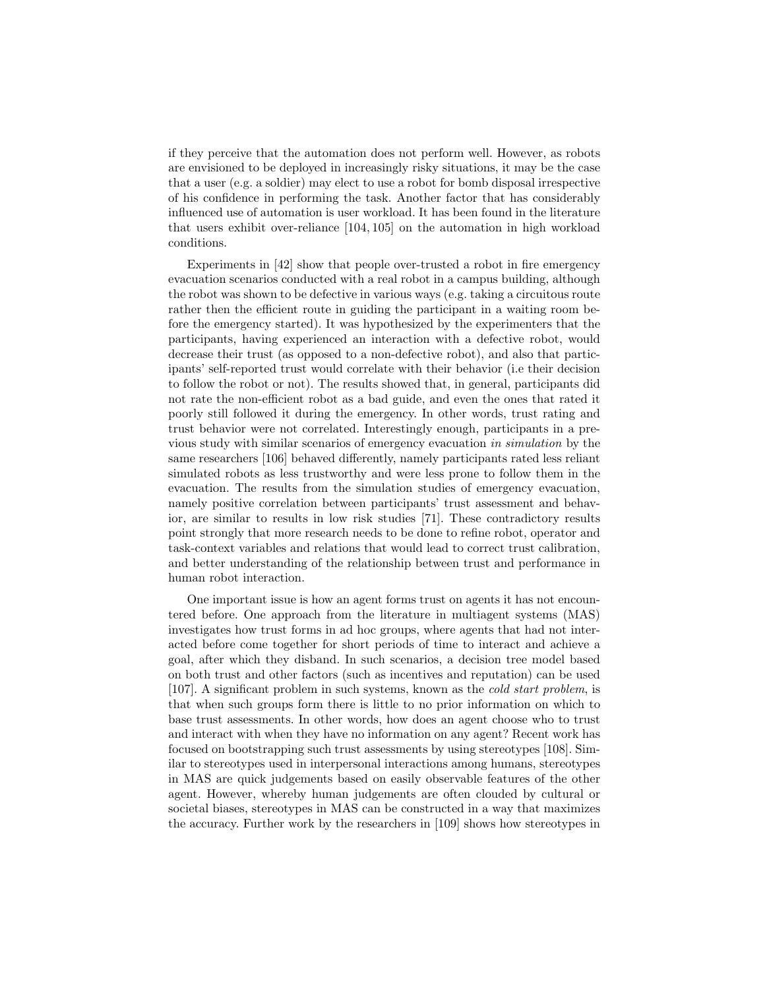if they perceive that the automation does not perform well. However, as robots are envisioned to be deployed in increasingly risky situations, it may be the case that a user (e.g. a soldier) may elect to use a robot for bomb disposal irrespective of his confidence in performing the task. Another factor that has considerably influenced use of automation is user workload. It has been found in the literature that users exhibit over-reliance [104, 105] on the automation in high workload conditions.

Experiments in [42] show that people over-trusted a robot in fire emergency evacuation scenarios conducted with a real robot in a campus building, although the robot was shown to be defective in various ways (e.g. taking a circuitous route rather then the efficient route in guiding the participant in a waiting room before the emergency started). It was hypothesized by the experimenters that the participants, having experienced an interaction with a defective robot, would decrease their trust (as opposed to a non-defective robot), and also that participants' self-reported trust would correlate with their behavior (i.e their decision to follow the robot or not). The results showed that, in general, participants did not rate the non-efficient robot as a bad guide, and even the ones that rated it poorly still followed it during the emergency. In other words, trust rating and trust behavior were not correlated. Interestingly enough, participants in a previous study with similar scenarios of emergency evacuation in simulation by the same researchers [106] behaved differently, namely participants rated less reliant simulated robots as less trustworthy and were less prone to follow them in the evacuation. The results from the simulation studies of emergency evacuation, namely positive correlation between participants' trust assessment and behavior, are similar to results in low risk studies [71]. These contradictory results point strongly that more research needs to be done to refine robot, operator and task-context variables and relations that would lead to correct trust calibration, and better understanding of the relationship between trust and performance in human robot interaction.

One important issue is how an agent forms trust on agents it has not encountered before. One approach from the literature in multiagent systems (MAS) investigates how trust forms in ad hoc groups, where agents that had not interacted before come together for short periods of time to interact and achieve a goal, after which they disband. In such scenarios, a decision tree model based on both trust and other factors (such as incentives and reputation) can be used [107]. A significant problem in such systems, known as the cold start problem, is that when such groups form there is little to no prior information on which to base trust assessments. In other words, how does an agent choose who to trust and interact with when they have no information on any agent? Recent work has focused on bootstrapping such trust assessments by using stereotypes [108]. Similar to stereotypes used in interpersonal interactions among humans, stereotypes in MAS are quick judgements based on easily observable features of the other agent. However, whereby human judgements are often clouded by cultural or societal biases, stereotypes in MAS can be constructed in a way that maximizes the accuracy. Further work by the researchers in [109] shows how stereotypes in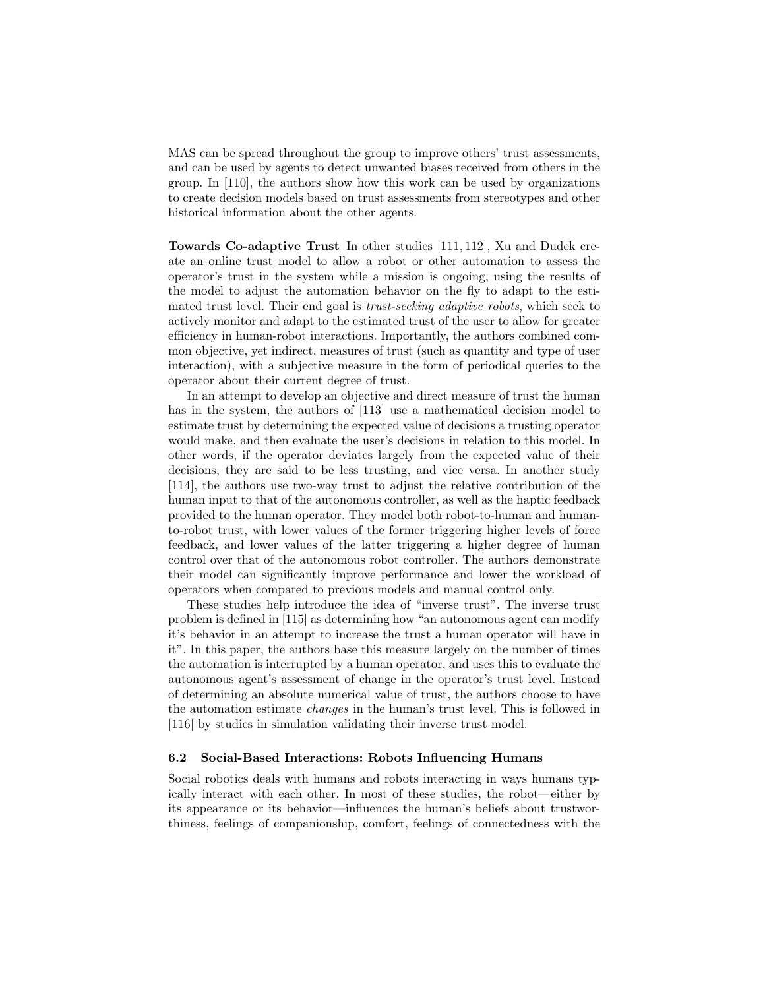MAS can be spread throughout the group to improve others' trust assessments, and can be used by agents to detect unwanted biases received from others in the group. In [110], the authors show how this work can be used by organizations to create decision models based on trust assessments from stereotypes and other historical information about the other agents.

Towards Co-adaptive Trust In other studies [111, 112], Xu and Dudek create an online trust model to allow a robot or other automation to assess the operator's trust in the system while a mission is ongoing, using the results of the model to adjust the automation behavior on the fly to adapt to the estimated trust level. Their end goal is trust-seeking adaptive robots, which seek to actively monitor and adapt to the estimated trust of the user to allow for greater efficiency in human-robot interactions. Importantly, the authors combined common objective, yet indirect, measures of trust (such as quantity and type of user interaction), with a subjective measure in the form of periodical queries to the operator about their current degree of trust.

In an attempt to develop an objective and direct measure of trust the human has in the system, the authors of [113] use a mathematical decision model to estimate trust by determining the expected value of decisions a trusting operator would make, and then evaluate the user's decisions in relation to this model. In other words, if the operator deviates largely from the expected value of their decisions, they are said to be less trusting, and vice versa. In another study [114], the authors use two-way trust to adjust the relative contribution of the human input to that of the autonomous controller, as well as the haptic feedback provided to the human operator. They model both robot-to-human and humanto-robot trust, with lower values of the former triggering higher levels of force feedback, and lower values of the latter triggering a higher degree of human control over that of the autonomous robot controller. The authors demonstrate their model can significantly improve performance and lower the workload of operators when compared to previous models and manual control only.

These studies help introduce the idea of "inverse trust". The inverse trust problem is defined in [115] as determining how "an autonomous agent can modify it's behavior in an attempt to increase the trust a human operator will have in it". In this paper, the authors base this measure largely on the number of times the automation is interrupted by a human operator, and uses this to evaluate the autonomous agent's assessment of change in the operator's trust level. Instead of determining an absolute numerical value of trust, the authors choose to have the automation estimate changes in the human's trust level. This is followed in [116] by studies in simulation validating their inverse trust model.

#### 6.2 Social-Based Interactions: Robots Influencing Humans

Social robotics deals with humans and robots interacting in ways humans typically interact with each other. In most of these studies, the robot—either by its appearance or its behavior—influences the human's beliefs about trustworthiness, feelings of companionship, comfort, feelings of connectedness with the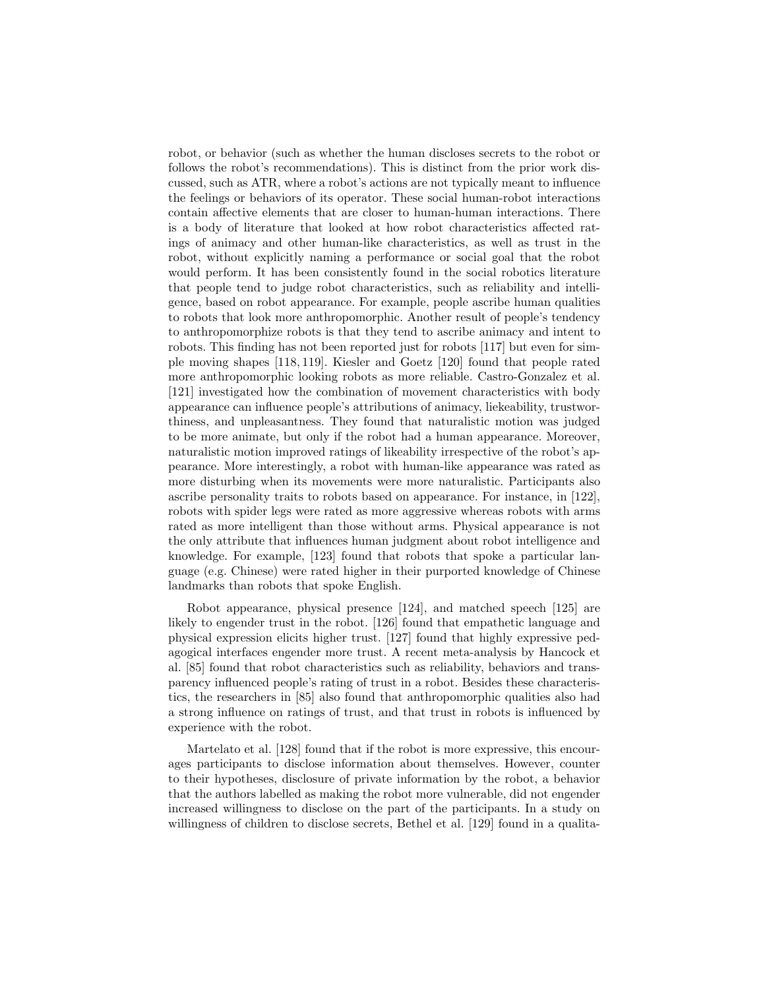robot, or behavior (such as whether the human discloses secrets to the robot or follows the robot's recommendations). This is distinct from the prior work discussed, such as ATR, where a robot's actions are not typically meant to influence the feelings or behaviors of its operator. These social human-robot interactions contain affective elements that are closer to human-human interactions. There is a body of literature that looked at how robot characteristics affected ratings of animacy and other human-like characteristics, as well as trust in the robot, without explicitly naming a performance or social goal that the robot would perform. It has been consistently found in the social robotics literature that people tend to judge robot characteristics, such as reliability and intelligence, based on robot appearance. For example, people ascribe human qualities to robots that look more anthropomorphic. Another result of people's tendency to anthropomorphize robots is that they tend to ascribe animacy and intent to robots. This finding has not been reported just for robots [117] but even for simple moving shapes [118, 119]. Kiesler and Goetz [120] found that people rated more anthropomorphic looking robots as more reliable. Castro-Gonzalez et al. [121] investigated how the combination of movement characteristics with body appearance can influence people's attributions of animacy, liekeability, trustworthiness, and unpleasantness. They found that naturalistic motion was judged to be more animate, but only if the robot had a human appearance. Moreover, naturalistic motion improved ratings of likeability irrespective of the robot's appearance. More interestingly, a robot with human-like appearance was rated as more disturbing when its movements were more naturalistic. Participants also ascribe personality traits to robots based on appearance. For instance, in [122], robots with spider legs were rated as more aggressive whereas robots with arms rated as more intelligent than those without arms. Physical appearance is not the only attribute that influences human judgment about robot intelligence and knowledge. For example, [123] found that robots that spoke a particular language (e.g. Chinese) were rated higher in their purported knowledge of Chinese landmarks than robots that spoke English.

Robot appearance, physical presence [124], and matched speech [125] are likely to engender trust in the robot. [126] found that empathetic language and physical expression elicits higher trust. [127] found that highly expressive pedagogical interfaces engender more trust. A recent meta-analysis by Hancock et al. [85] found that robot characteristics such as reliability, behaviors and transparency influenced people's rating of trust in a robot. Besides these characteristics, the researchers in [85] also found that anthropomorphic qualities also had a strong influence on ratings of trust, and that trust in robots is influenced by experience with the robot.

Martelato et al. [128] found that if the robot is more expressive, this encourages participants to disclose information about themselves. However, counter to their hypotheses, disclosure of private information by the robot, a behavior that the authors labelled as making the robot more vulnerable, did not engender increased willingness to disclose on the part of the participants. In a study on willingness of children to disclose secrets, Bethel et al. [129] found in a qualita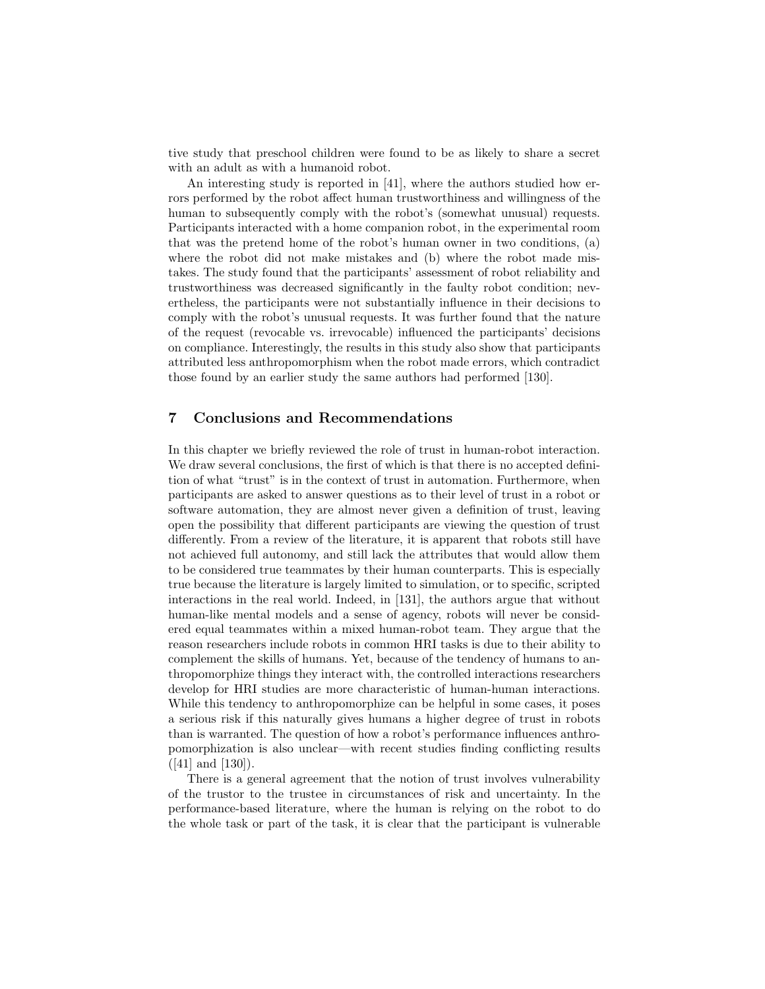tive study that preschool children were found to be as likely to share a secret with an adult as with a humanoid robot.

An interesting study is reported in [41], where the authors studied how errors performed by the robot affect human trustworthiness and willingness of the human to subsequently comply with the robot's (somewhat unusual) requests. Participants interacted with a home companion robot, in the experimental room that was the pretend home of the robot's human owner in two conditions, (a) where the robot did not make mistakes and (b) where the robot made mistakes. The study found that the participants' assessment of robot reliability and trustworthiness was decreased significantly in the faulty robot condition; nevertheless, the participants were not substantially influence in their decisions to comply with the robot's unusual requests. It was further found that the nature of the request (revocable vs. irrevocable) influenced the participants' decisions on compliance. Interestingly, the results in this study also show that participants attributed less anthropomorphism when the robot made errors, which contradict those found by an earlier study the same authors had performed [130].

# 7 Conclusions and Recommendations

In this chapter we briefly reviewed the role of trust in human-robot interaction. We draw several conclusions, the first of which is that there is no accepted definition of what "trust" is in the context of trust in automation. Furthermore, when participants are asked to answer questions as to their level of trust in a robot or software automation, they are almost never given a definition of trust, leaving open the possibility that different participants are viewing the question of trust differently. From a review of the literature, it is apparent that robots still have not achieved full autonomy, and still lack the attributes that would allow them to be considered true teammates by their human counterparts. This is especially true because the literature is largely limited to simulation, or to specific, scripted interactions in the real world. Indeed, in [131], the authors argue that without human-like mental models and a sense of agency, robots will never be considered equal teammates within a mixed human-robot team. They argue that the reason researchers include robots in common HRI tasks is due to their ability to complement the skills of humans. Yet, because of the tendency of humans to anthropomorphize things they interact with, the controlled interactions researchers develop for HRI studies are more characteristic of human-human interactions. While this tendency to anthropomorphize can be helpful in some cases, it poses a serious risk if this naturally gives humans a higher degree of trust in robots than is warranted. The question of how a robot's performance influences anthropomorphization is also unclear—with recent studies finding conflicting results  $([41]$  and  $[130]$ ).

There is a general agreement that the notion of trust involves vulnerability of the trustor to the trustee in circumstances of risk and uncertainty. In the performance-based literature, where the human is relying on the robot to do the whole task or part of the task, it is clear that the participant is vulnerable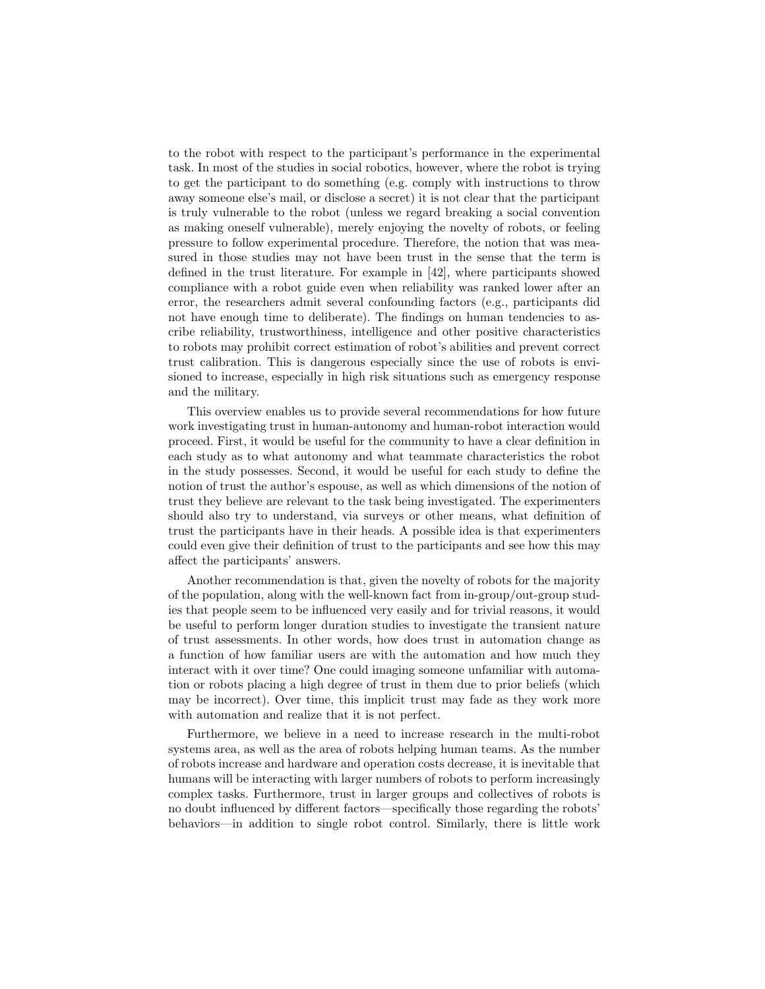to the robot with respect to the participant's performance in the experimental task. In most of the studies in social robotics, however, where the robot is trying to get the participant to do something (e.g. comply with instructions to throw away someone else's mail, or disclose a secret) it is not clear that the participant is truly vulnerable to the robot (unless we regard breaking a social convention as making oneself vulnerable), merely enjoying the novelty of robots, or feeling pressure to follow experimental procedure. Therefore, the notion that was measured in those studies may not have been trust in the sense that the term is defined in the trust literature. For example in [42], where participants showed compliance with a robot guide even when reliability was ranked lower after an error, the researchers admit several confounding factors (e.g., participants did not have enough time to deliberate). The findings on human tendencies to ascribe reliability, trustworthiness, intelligence and other positive characteristics to robots may prohibit correct estimation of robot's abilities and prevent correct trust calibration. This is dangerous especially since the use of robots is envisioned to increase, especially in high risk situations such as emergency response and the military.

This overview enables us to provide several recommendations for how future work investigating trust in human-autonomy and human-robot interaction would proceed. First, it would be useful for the community to have a clear definition in each study as to what autonomy and what teammate characteristics the robot in the study possesses. Second, it would be useful for each study to define the notion of trust the author's espouse, as well as which dimensions of the notion of trust they believe are relevant to the task being investigated. The experimenters should also try to understand, via surveys or other means, what definition of trust the participants have in their heads. A possible idea is that experimenters could even give their definition of trust to the participants and see how this may affect the participants' answers.

Another recommendation is that, given the novelty of robots for the majority of the population, along with the well-known fact from in-group/out-group studies that people seem to be influenced very easily and for trivial reasons, it would be useful to perform longer duration studies to investigate the transient nature of trust assessments. In other words, how does trust in automation change as a function of how familiar users are with the automation and how much they interact with it over time? One could imaging someone unfamiliar with automation or robots placing a high degree of trust in them due to prior beliefs (which may be incorrect). Over time, this implicit trust may fade as they work more with automation and realize that it is not perfect.

Furthermore, we believe in a need to increase research in the multi-robot systems area, as well as the area of robots helping human teams. As the number of robots increase and hardware and operation costs decrease, it is inevitable that humans will be interacting with larger numbers of robots to perform increasingly complex tasks. Furthermore, trust in larger groups and collectives of robots is no doubt influenced by different factors—specifically those regarding the robots' behaviors—in addition to single robot control. Similarly, there is little work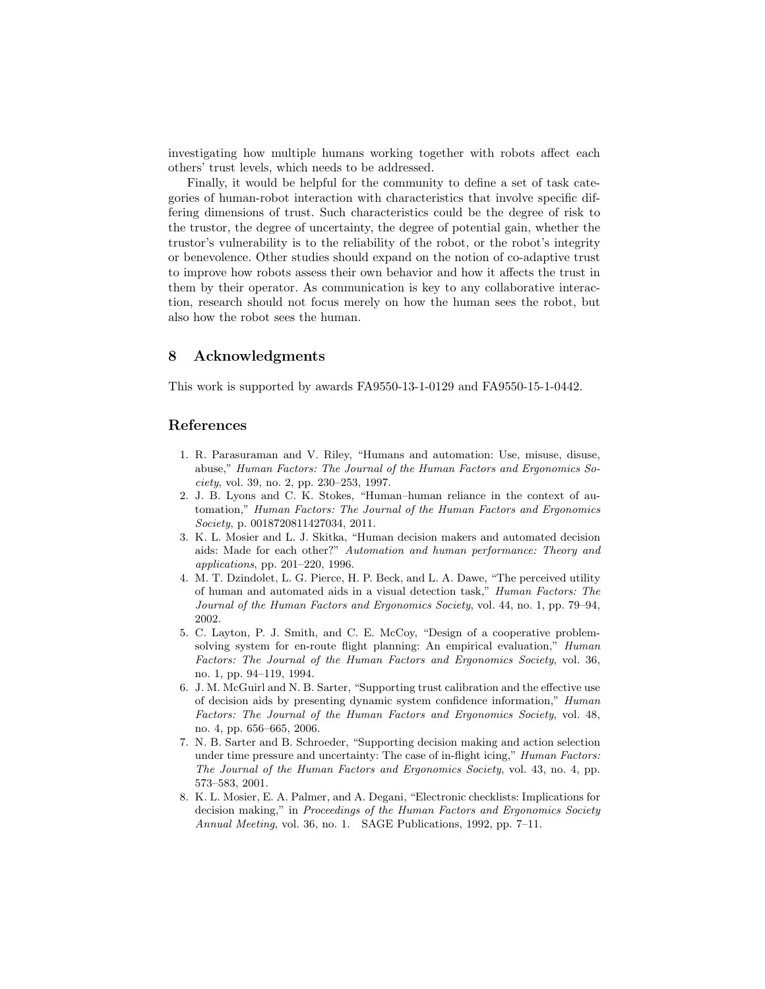investigating how multiple humans working together with robots affect each others' trust levels, which needs to be addressed.

Finally, it would be helpful for the community to define a set of task categories of human-robot interaction with characteristics that involve specific differing dimensions of trust. Such characteristics could be the degree of risk to the trustor, the degree of uncertainty, the degree of potential gain, whether the trustor's vulnerability is to the reliability of the robot, or the robot's integrity or benevolence. Other studies should expand on the notion of co-adaptive trust to improve how robots assess their own behavior and how it affects the trust in them by their operator. As communication is key to any collaborative interaction, research should not focus merely on how the human sees the robot, but also how the robot sees the human.

### 8 Acknowledgments

This work is supported by awards FA9550-13-1-0129 and FA9550-15-1-0442.

# References

- 1. R. Parasuraman and V. Riley, "Humans and automation: Use, misuse, disuse, abuse," Human Factors: The Journal of the Human Factors and Ergonomics Society, vol. 39, no. 2, pp. 230–253, 1997.
- 2. J. B. Lyons and C. K. Stokes, "Human–human reliance in the context of automation," Human Factors: The Journal of the Human Factors and Ergonomics Society, p. 0018720811427034, 2011.
- 3. K. L. Mosier and L. J. Skitka, "Human decision makers and automated decision aids: Made for each other?" Automation and human performance: Theory and applications, pp. 201–220, 1996.
- 4. M. T. Dzindolet, L. G. Pierce, H. P. Beck, and L. A. Dawe, "The perceived utility of human and automated aids in a visual detection task," Human Factors: The Journal of the Human Factors and Ergonomics Society, vol. 44, no. 1, pp. 79–94, 2002.
- 5. C. Layton, P. J. Smith, and C. E. McCoy, "Design of a cooperative problemsolving system for en-route flight planning: An empirical evaluation," Human Factors: The Journal of the Human Factors and Ergonomics Society, vol. 36, no. 1, pp. 94–119, 1994.
- 6. J. M. McGuirl and N. B. Sarter, "Supporting trust calibration and the effective use of decision aids by presenting dynamic system confidence information," Human Factors: The Journal of the Human Factors and Ergonomics Society, vol. 48, no. 4, pp. 656–665, 2006.
- 7. N. B. Sarter and B. Schroeder, "Supporting decision making and action selection under time pressure and uncertainty: The case of in-flight icing," *Human Factors:* The Journal of the Human Factors and Ergonomics Society, vol. 43, no. 4, pp. 573–583, 2001.
- 8. K. L. Mosier, E. A. Palmer, and A. Degani, "Electronic checklists: Implications for decision making," in Proceedings of the Human Factors and Ergonomics Society Annual Meeting, vol. 36, no. 1. SAGE Publications, 1992, pp. 7–11.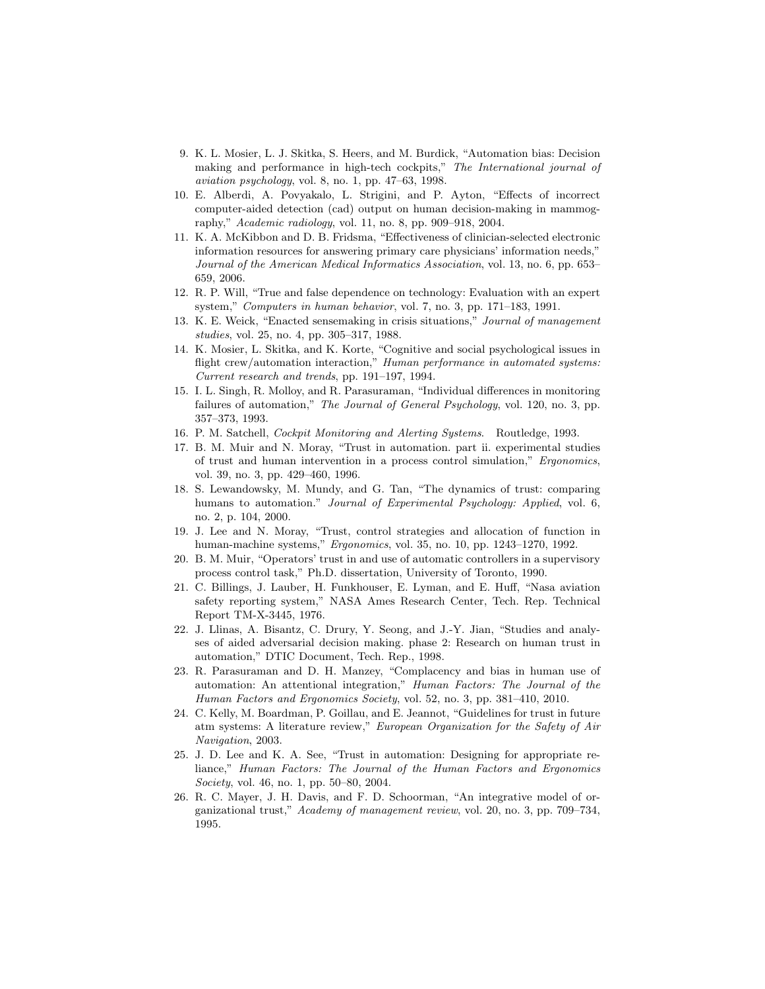- 9. K. L. Mosier, L. J. Skitka, S. Heers, and M. Burdick, "Automation bias: Decision making and performance in high-tech cockpits," The International journal of aviation psychology, vol. 8, no. 1, pp. 47–63, 1998.
- 10. E. Alberdi, A. Povyakalo, L. Strigini, and P. Ayton, "Effects of incorrect computer-aided detection (cad) output on human decision-making in mammography," Academic radiology, vol. 11, no. 8, pp. 909–918, 2004.
- 11. K. A. McKibbon and D. B. Fridsma, "Effectiveness of clinician-selected electronic information resources for answering primary care physicians' information needs," Journal of the American Medical Informatics Association, vol. 13, no. 6, pp. 653– 659, 2006.
- 12. R. P. Will, "True and false dependence on technology: Evaluation with an expert system," Computers in human behavior, vol. 7, no. 3, pp. 171–183, 1991.
- 13. K. E. Weick, "Enacted sensemaking in crisis situations," Journal of management studies, vol. 25, no. 4, pp. 305–317, 1988.
- 14. K. Mosier, L. Skitka, and K. Korte, "Cognitive and social psychological issues in flight crew/automation interaction," Human performance in automated systems: Current research and trends, pp. 191–197, 1994.
- 15. I. L. Singh, R. Molloy, and R. Parasuraman, "Individual differences in monitoring failures of automation," The Journal of General Psychology, vol. 120, no. 3, pp. 357–373, 1993.
- 16. P. M. Satchell, Cockpit Monitoring and Alerting Systems. Routledge, 1993.
- 17. B. M. Muir and N. Moray, "Trust in automation. part ii. experimental studies of trust and human intervention in a process control simulation," Ergonomics, vol. 39, no. 3, pp. 429–460, 1996.
- 18. S. Lewandowsky, M. Mundy, and G. Tan, "The dynamics of trust: comparing humans to automation." Journal of Experimental Psychology: Applied, vol. 6, no. 2, p. 104, 2000.
- 19. J. Lee and N. Moray, "Trust, control strategies and allocation of function in human-machine systems," Ergonomics, vol. 35, no. 10, pp. 1243–1270, 1992.
- 20. B. M. Muir, "Operators' trust in and use of automatic controllers in a supervisory process control task," Ph.D. dissertation, University of Toronto, 1990.
- 21. C. Billings, J. Lauber, H. Funkhouser, E. Lyman, and E. Huff, "Nasa aviation safety reporting system," NASA Ames Research Center, Tech. Rep. Technical Report TM-X-3445, 1976.
- 22. J. Llinas, A. Bisantz, C. Drury, Y. Seong, and J.-Y. Jian, "Studies and analyses of aided adversarial decision making. phase 2: Research on human trust in automation," DTIC Document, Tech. Rep., 1998.
- 23. R. Parasuraman and D. H. Manzey, "Complacency and bias in human use of automation: An attentional integration," Human Factors: The Journal of the Human Factors and Ergonomics Society, vol. 52, no. 3, pp. 381–410, 2010.
- 24. C. Kelly, M. Boardman, P. Goillau, and E. Jeannot, "Guidelines for trust in future atm systems: A literature review," European Organization for the Safety of Air Navigation, 2003.
- 25. J. D. Lee and K. A. See, "Trust in automation: Designing for appropriate reliance," Human Factors: The Journal of the Human Factors and Ergonomics Society, vol. 46, no. 1, pp. 50–80, 2004.
- 26. R. C. Mayer, J. H. Davis, and F. D. Schoorman, "An integrative model of organizational trust," Academy of management review, vol. 20, no. 3, pp. 709–734, 1995.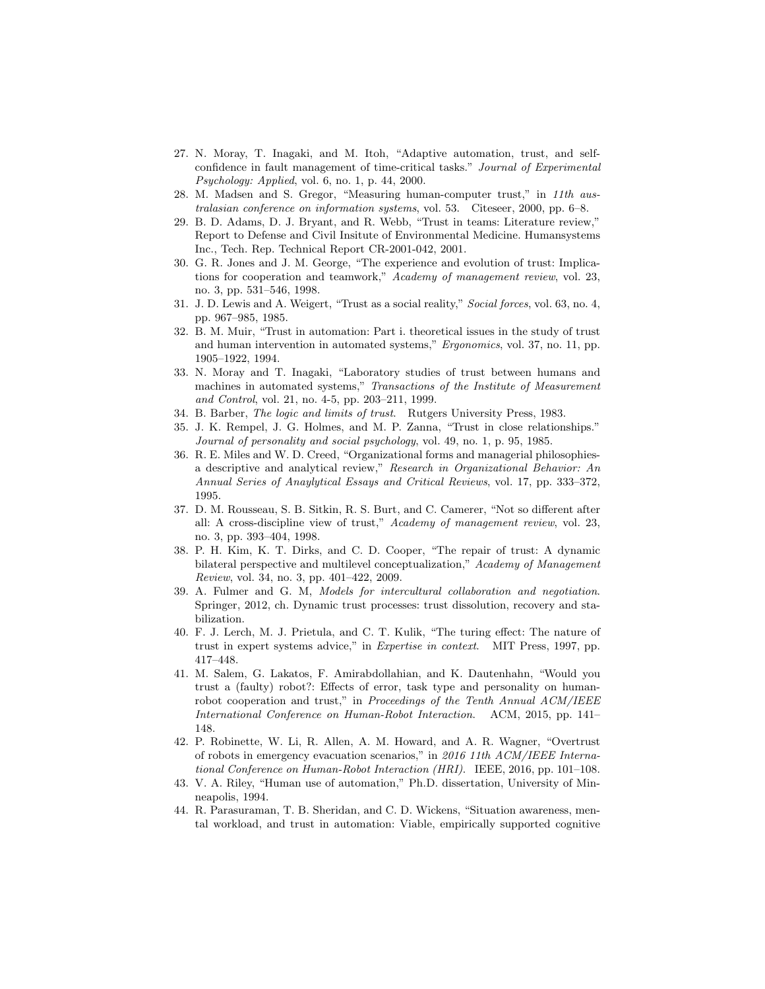- 27. N. Moray, T. Inagaki, and M. Itoh, "Adaptive automation, trust, and selfconfidence in fault management of time-critical tasks." Journal of Experimental Psychology: Applied, vol. 6, no. 1, p. 44, 2000.
- 28. M. Madsen and S. Gregor, "Measuring human-computer trust," in 11th australasian conference on information systems, vol. 53. Citeseer, 2000, pp. 6–8.
- 29. B. D. Adams, D. J. Bryant, and R. Webb, "Trust in teams: Literature review," Report to Defense and Civil Insitute of Environmental Medicine. Humansystems Inc., Tech. Rep. Technical Report CR-2001-042, 2001.
- 30. G. R. Jones and J. M. George, "The experience and evolution of trust: Implications for cooperation and teamwork," Academy of management review, vol. 23, no. 3, pp. 531–546, 1998.
- 31. J. D. Lewis and A. Weigert, "Trust as a social reality," Social forces, vol. 63, no. 4, pp. 967–985, 1985.
- 32. B. M. Muir, "Trust in automation: Part i. theoretical issues in the study of trust and human intervention in automated systems," Ergonomics, vol. 37, no. 11, pp. 1905–1922, 1994.
- 33. N. Moray and T. Inagaki, "Laboratory studies of trust between humans and machines in automated systems," Transactions of the Institute of Measurement and Control, vol. 21, no. 4-5, pp. 203–211, 1999.
- 34. B. Barber, The logic and limits of trust. Rutgers University Press, 1983.
- 35. J. K. Rempel, J. G. Holmes, and M. P. Zanna, "Trust in close relationships." Journal of personality and social psychology, vol. 49, no. 1, p. 95, 1985.
- 36. R. E. Miles and W. D. Creed, "Organizational forms and managerial philosophiesa descriptive and analytical review," Research in Organizational Behavior: An Annual Series of Anaylytical Essays and Critical Reviews, vol. 17, pp. 333–372, 1995.
- 37. D. M. Rousseau, S. B. Sitkin, R. S. Burt, and C. Camerer, "Not so different after all: A cross-discipline view of trust," Academy of management review, vol. 23, no. 3, pp. 393–404, 1998.
- 38. P. H. Kim, K. T. Dirks, and C. D. Cooper, "The repair of trust: A dynamic bilateral perspective and multilevel conceptualization," Academy of Management Review, vol. 34, no. 3, pp. 401–422, 2009.
- 39. A. Fulmer and G. M, Models for intercultural collaboration and negotiation. Springer, 2012, ch. Dynamic trust processes: trust dissolution, recovery and stabilization.
- 40. F. J. Lerch, M. J. Prietula, and C. T. Kulik, "The turing effect: The nature of trust in expert systems advice," in Expertise in context. MIT Press, 1997, pp. 417–448.
- 41. M. Salem, G. Lakatos, F. Amirabdollahian, and K. Dautenhahn, "Would you trust a (faulty) robot?: Effects of error, task type and personality on humanrobot cooperation and trust," in Proceedings of the Tenth Annual ACM/IEEE International Conference on Human-Robot Interaction. ACM, 2015, pp. 141– 148.
- 42. P. Robinette, W. Li, R. Allen, A. M. Howard, and A. R. Wagner, "Overtrust of robots in emergency evacuation scenarios," in 2016 11th ACM/IEEE International Conference on Human-Robot Interaction (HRI). IEEE, 2016, pp. 101–108.
- 43. V. A. Riley, "Human use of automation," Ph.D. dissertation, University of Minneapolis, 1994.
- 44. R. Parasuraman, T. B. Sheridan, and C. D. Wickens, "Situation awareness, mental workload, and trust in automation: Viable, empirically supported cognitive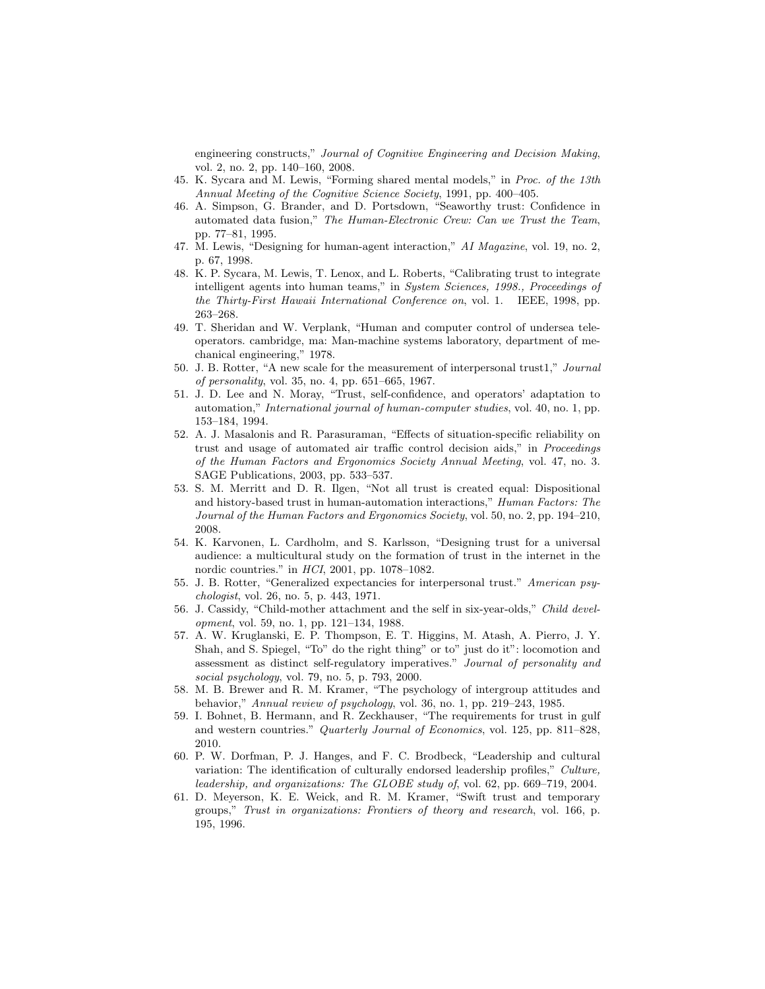engineering constructs," Journal of Cognitive Engineering and Decision Making, vol. 2, no. 2, pp. 140–160, 2008.

- 45. K. Sycara and M. Lewis, "Forming shared mental models," in Proc. of the 13th Annual Meeting of the Cognitive Science Society, 1991, pp. 400–405.
- 46. A. Simpson, G. Brander, and D. Portsdown, "Seaworthy trust: Confidence in automated data fusion," The Human-Electronic Crew: Can we Trust the Team, pp. 77–81, 1995.
- 47. M. Lewis, "Designing for human-agent interaction," AI Magazine, vol. 19, no. 2, p. 67, 1998.
- 48. K. P. Sycara, M. Lewis, T. Lenox, and L. Roberts, "Calibrating trust to integrate intelligent agents into human teams," in System Sciences, 1998., Proceedings of the Thirty-First Hawaii International Conference on, vol. 1. IEEE, 1998, pp. 263–268.
- 49. T. Sheridan and W. Verplank, "Human and computer control of undersea teleoperators. cambridge, ma: Man-machine systems laboratory, department of mechanical engineering," 1978.
- 50. J. B. Rotter, "A new scale for the measurement of interpersonal trust1," Journal of personality, vol. 35, no. 4, pp. 651–665, 1967.
- 51. J. D. Lee and N. Moray, "Trust, self-confidence, and operators' adaptation to automation," International journal of human-computer studies, vol. 40, no. 1, pp. 153–184, 1994.
- 52. A. J. Masalonis and R. Parasuraman, "Effects of situation-specific reliability on trust and usage of automated air traffic control decision aids," in Proceedings of the Human Factors and Ergonomics Society Annual Meeting, vol. 47, no. 3. SAGE Publications, 2003, pp. 533–537.
- 53. S. M. Merritt and D. R. Ilgen, "Not all trust is created equal: Dispositional and history-based trust in human-automation interactions," Human Factors: The Journal of the Human Factors and Ergonomics Society, vol. 50, no. 2, pp. 194–210, 2008.
- 54. K. Karvonen, L. Cardholm, and S. Karlsson, "Designing trust for a universal audience: a multicultural study on the formation of trust in the internet in the nordic countries." in HCI, 2001, pp. 1078–1082.
- 55. J. B. Rotter, "Generalized expectancies for interpersonal trust." American psychologist, vol. 26, no. 5, p. 443, 1971.
- 56. J. Cassidy, "Child-mother attachment and the self in six-year-olds," Child development, vol. 59, no. 1, pp. 121–134, 1988.
- 57. A. W. Kruglanski, E. P. Thompson, E. T. Higgins, M. Atash, A. Pierro, J. Y. Shah, and S. Spiegel, "To" do the right thing" or to" just do it": locomotion and assessment as distinct self-regulatory imperatives." Journal of personality and social psychology, vol. 79, no. 5, p. 793, 2000.
- 58. M. B. Brewer and R. M. Kramer, "The psychology of intergroup attitudes and behavior," Annual review of psychology, vol. 36, no. 1, pp. 219–243, 1985.
- 59. I. Bohnet, B. Hermann, and R. Zeckhauser, "The requirements for trust in gulf and western countries." Quarterly Journal of Economics, vol. 125, pp. 811–828, 2010.
- 60. P. W. Dorfman, P. J. Hanges, and F. C. Brodbeck, "Leadership and cultural variation: The identification of culturally endorsed leadership profiles," Culture, leadership, and organizations: The GLOBE study of, vol. 62, pp. 669–719, 2004.
- 61. D. Meyerson, K. E. Weick, and R. M. Kramer, "Swift trust and temporary groups," Trust in organizations: Frontiers of theory and research, vol. 166, p. 195, 1996.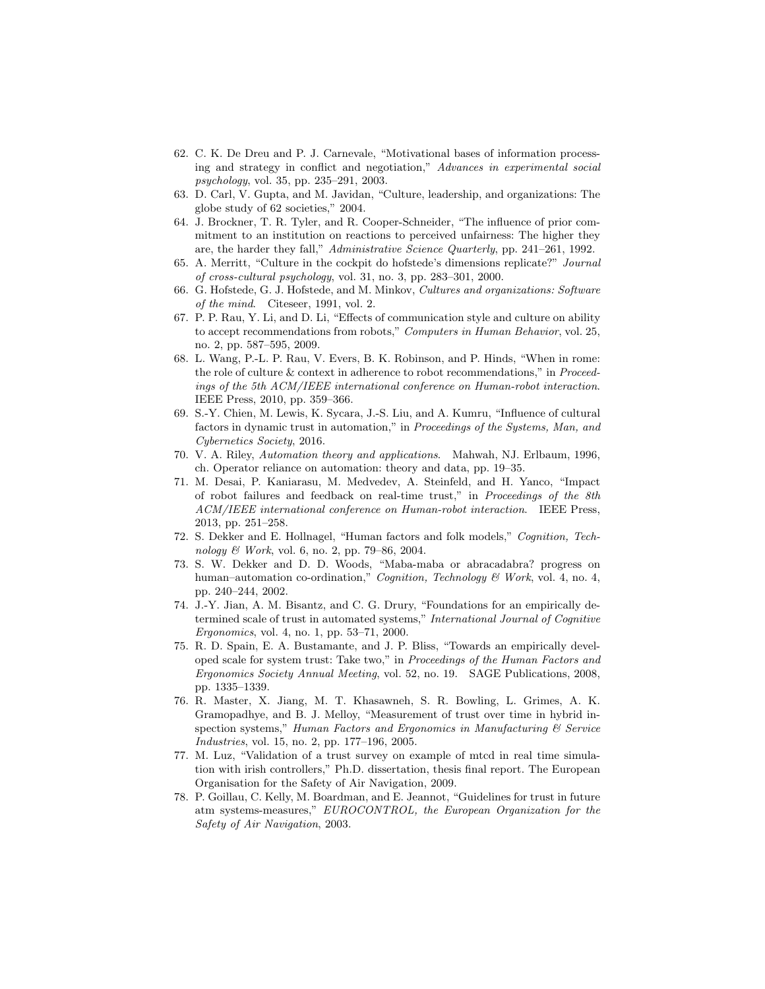- 62. C. K. De Dreu and P. J. Carnevale, "Motivational bases of information processing and strategy in conflict and negotiation," Advances in experimental social psychology, vol. 35, pp. 235–291, 2003.
- 63. D. Carl, V. Gupta, and M. Javidan, "Culture, leadership, and organizations: The globe study of 62 societies," 2004.
- 64. J. Brockner, T. R. Tyler, and R. Cooper-Schneider, "The influence of prior commitment to an institution on reactions to perceived unfairness: The higher they are, the harder they fall," Administrative Science Quarterly, pp. 241–261, 1992.
- 65. A. Merritt, "Culture in the cockpit do hofstede's dimensions replicate?" Journal of cross-cultural psychology, vol. 31, no. 3, pp. 283–301, 2000.
- 66. G. Hofstede, G. J. Hofstede, and M. Minkov, Cultures and organizations: Software of the mind. Citeseer, 1991, vol. 2.
- 67. P. P. Rau, Y. Li, and D. Li, "Effects of communication style and culture on ability to accept recommendations from robots," Computers in Human Behavior, vol. 25, no. 2, pp. 587–595, 2009.
- 68. L. Wang, P.-L. P. Rau, V. Evers, B. K. Robinson, and P. Hinds, "When in rome: the role of culture & context in adherence to robot recommendations," in Proceedings of the 5th ACM/IEEE international conference on Human-robot interaction. IEEE Press, 2010, pp. 359–366.
- 69. S.-Y. Chien, M. Lewis, K. Sycara, J.-S. Liu, and A. Kumru, "Influence of cultural factors in dynamic trust in automation," in Proceedings of the Systems, Man, and Cybernetics Society, 2016.
- 70. V. A. Riley, Automation theory and applications. Mahwah, NJ. Erlbaum, 1996, ch. Operator reliance on automation: theory and data, pp. 19–35.
- 71. M. Desai, P. Kaniarasu, M. Medvedev, A. Steinfeld, and H. Yanco, "Impact of robot failures and feedback on real-time trust," in Proceedings of the 8th ACM/IEEE international conference on Human-robot interaction. IEEE Press, 2013, pp. 251–258.
- 72. S. Dekker and E. Hollnagel, "Human factors and folk models," Cognition, Technology  $\&$  Work, vol. 6, no. 2, pp. 79–86, 2004.
- 73. S. W. Dekker and D. D. Woods, "Maba-maba or abracadabra? progress on human–automation co-ordination," Cognition, Technology & Work, vol. 4, no. 4, pp. 240–244, 2002.
- 74. J.-Y. Jian, A. M. Bisantz, and C. G. Drury, "Foundations for an empirically determined scale of trust in automated systems," International Journal of Cognitive Ergonomics, vol. 4, no. 1, pp. 53–71, 2000.
- 75. R. D. Spain, E. A. Bustamante, and J. P. Bliss, "Towards an empirically developed scale for system trust: Take two," in Proceedings of the Human Factors and Ergonomics Society Annual Meeting, vol. 52, no. 19. SAGE Publications, 2008, pp. 1335–1339.
- 76. R. Master, X. Jiang, M. T. Khasawneh, S. R. Bowling, L. Grimes, A. K. Gramopadhye, and B. J. Melloy, "Measurement of trust over time in hybrid inspection systems," Human Factors and Ergonomics in Manufacturing & Service Industries, vol. 15, no. 2, pp. 177–196, 2005.
- 77. M. Luz, "Validation of a trust survey on example of mtcd in real time simulation with irish controllers," Ph.D. dissertation, thesis final report. The European Organisation for the Safety of Air Navigation, 2009.
- 78. P. Goillau, C. Kelly, M. Boardman, and E. Jeannot, "Guidelines for trust in future atm systems-measures," EUROCONTROL, the European Organization for the Safety of Air Navigation, 2003.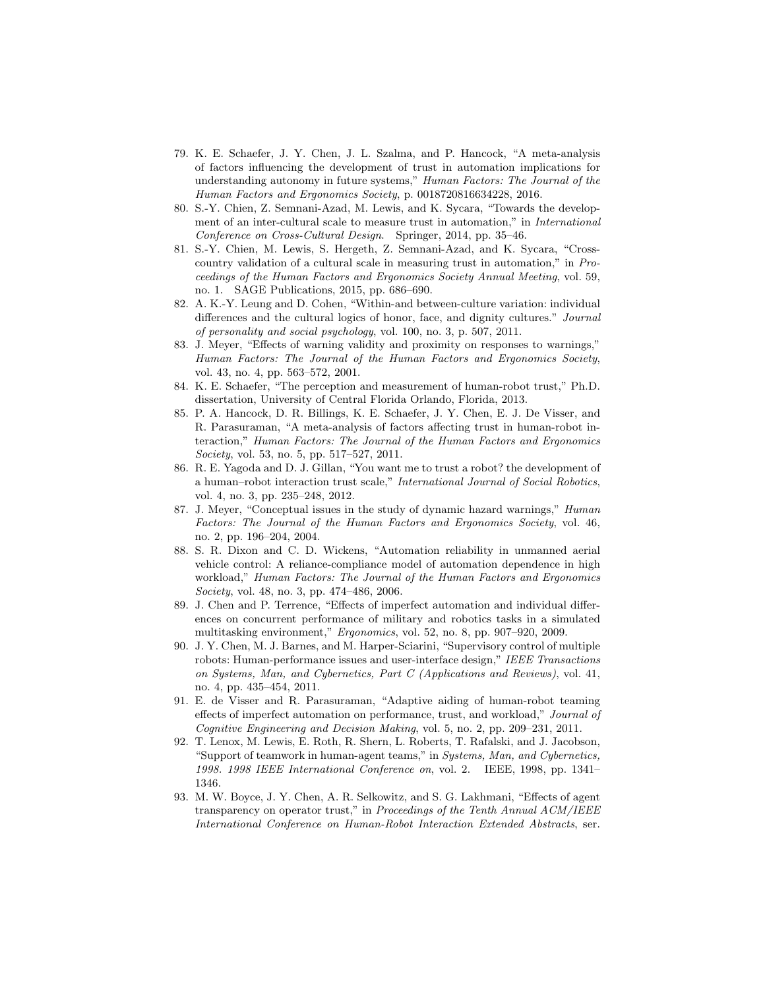- 79. K. E. Schaefer, J. Y. Chen, J. L. Szalma, and P. Hancock, "A meta-analysis of factors influencing the development of trust in automation implications for understanding autonomy in future systems," Human Factors: The Journal of the Human Factors and Ergonomics Society, p. 0018720816634228, 2016.
- 80. S.-Y. Chien, Z. Semnani-Azad, M. Lewis, and K. Sycara, "Towards the development of an inter-cultural scale to measure trust in automation," in International Conference on Cross-Cultural Design. Springer, 2014, pp. 35–46.
- 81. S.-Y. Chien, M. Lewis, S. Hergeth, Z. Semnani-Azad, and K. Sycara, "Crosscountry validation of a cultural scale in measuring trust in automation," in Proceedings of the Human Factors and Ergonomics Society Annual Meeting, vol. 59, no. 1. SAGE Publications, 2015, pp. 686–690.
- 82. A. K.-Y. Leung and D. Cohen, "Within-and between-culture variation: individual differences and the cultural logics of honor, face, and dignity cultures." Journal of personality and social psychology, vol. 100, no. 3, p. 507, 2011.
- 83. J. Meyer, "Effects of warning validity and proximity on responses to warnings," Human Factors: The Journal of the Human Factors and Ergonomics Society, vol. 43, no. 4, pp. 563–572, 2001.
- 84. K. E. Schaefer, "The perception and measurement of human-robot trust," Ph.D. dissertation, University of Central Florida Orlando, Florida, 2013.
- 85. P. A. Hancock, D. R. Billings, K. E. Schaefer, J. Y. Chen, E. J. De Visser, and R. Parasuraman, "A meta-analysis of factors affecting trust in human-robot interaction," Human Factors: The Journal of the Human Factors and Ergonomics Society, vol. 53, no. 5, pp. 517–527, 2011.
- 86. R. E. Yagoda and D. J. Gillan, "You want me to trust a robot? the development of a human–robot interaction trust scale," International Journal of Social Robotics, vol. 4, no. 3, pp. 235–248, 2012.
- 87. J. Meyer, "Conceptual issues in the study of dynamic hazard warnings," Human Factors: The Journal of the Human Factors and Ergonomics Society, vol. 46, no. 2, pp. 196–204, 2004.
- 88. S. R. Dixon and C. D. Wickens, "Automation reliability in unmanned aerial vehicle control: A reliance-compliance model of automation dependence in high workload," Human Factors: The Journal of the Human Factors and Ergonomics Society, vol. 48, no. 3, pp. 474–486, 2006.
- 89. J. Chen and P. Terrence, "Effects of imperfect automation and individual differences on concurrent performance of military and robotics tasks in a simulated multitasking environment," Ergonomics, vol. 52, no. 8, pp. 907–920, 2009.
- 90. J. Y. Chen, M. J. Barnes, and M. Harper-Sciarini, "Supervisory control of multiple robots: Human-performance issues and user-interface design," IEEE Transactions on Systems, Man, and Cybernetics, Part C (Applications and Reviews), vol. 41, no. 4, pp. 435–454, 2011.
- 91. E. de Visser and R. Parasuraman, "Adaptive aiding of human-robot teaming effects of imperfect automation on performance, trust, and workload," Journal of Cognitive Engineering and Decision Making, vol. 5, no. 2, pp. 209–231, 2011.
- 92. T. Lenox, M. Lewis, E. Roth, R. Shern, L. Roberts, T. Rafalski, and J. Jacobson, "Support of teamwork in human-agent teams," in Systems, Man, and Cybernetics, 1998. 1998 IEEE International Conference on, vol. 2. IEEE, 1998, pp. 1341– 1346.
- 93. M. W. Boyce, J. Y. Chen, A. R. Selkowitz, and S. G. Lakhmani, "Effects of agent transparency on operator trust," in Proceedings of the Tenth Annual ACM/IEEE International Conference on Human-Robot Interaction Extended Abstracts, ser.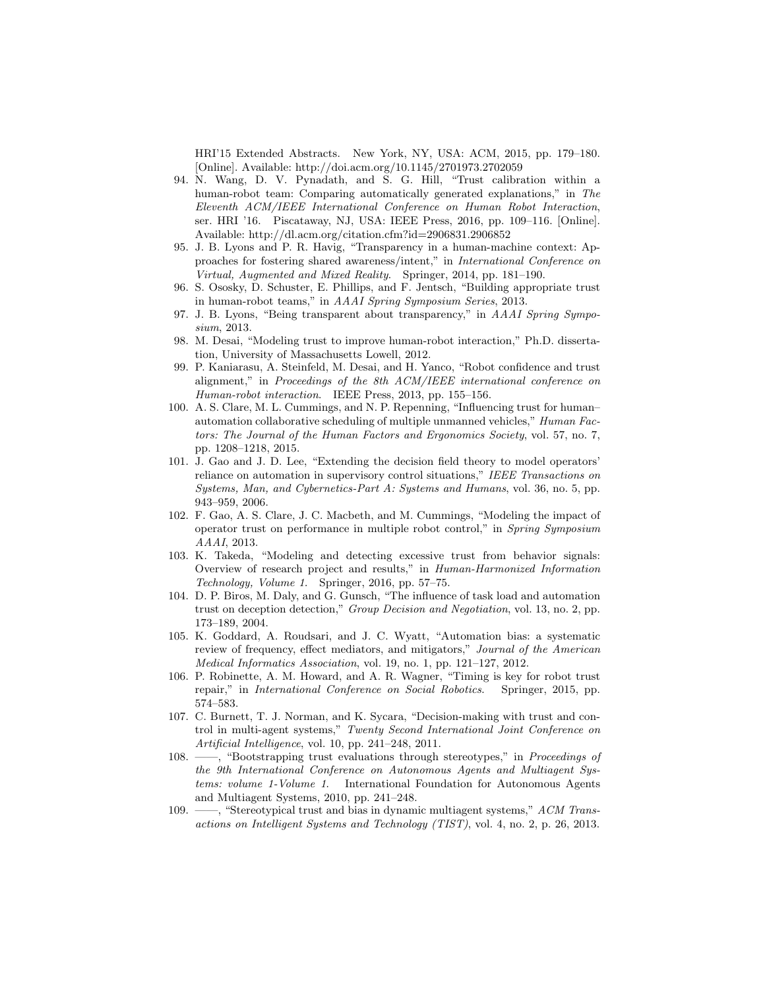HRI'15 Extended Abstracts. New York, NY, USA: ACM, 2015, pp. 179–180. [Online]. Available: http://doi.acm.org/10.1145/2701973.2702059

- 94. N. Wang, D. V. Pynadath, and S. G. Hill, "Trust calibration within a human-robot team: Comparing automatically generated explanations," in The Eleventh ACM/IEEE International Conference on Human Robot Interaction, ser. HRI '16. Piscataway, NJ, USA: IEEE Press, 2016, pp. 109–116. [Online]. Available: http://dl.acm.org/citation.cfm?id=2906831.2906852
- 95. J. B. Lyons and P. R. Havig, "Transparency in a human-machine context: Approaches for fostering shared awareness/intent," in International Conference on Virtual, Augmented and Mixed Reality. Springer, 2014, pp. 181–190.
- 96. S. Ososky, D. Schuster, E. Phillips, and F. Jentsch, "Building appropriate trust in human-robot teams," in AAAI Spring Symposium Series, 2013.
- 97. J. B. Lyons, "Being transparent about transparency," in AAAI Spring Symposium, 2013.
- 98. M. Desai, "Modeling trust to improve human-robot interaction," Ph.D. dissertation, University of Massachusetts Lowell, 2012.
- 99. P. Kaniarasu, A. Steinfeld, M. Desai, and H. Yanco, "Robot confidence and trust alignment," in Proceedings of the 8th ACM/IEEE international conference on Human-robot interaction. IEEE Press, 2013, pp. 155–156.
- 100. A. S. Clare, M. L. Cummings, and N. P. Repenning, "Influencing trust for human– automation collaborative scheduling of multiple unmanned vehicles," Human Factors: The Journal of the Human Factors and Ergonomics Society, vol. 57, no. 7, pp. 1208–1218, 2015.
- 101. J. Gao and J. D. Lee, "Extending the decision field theory to model operators' reliance on automation in supervisory control situations," IEEE Transactions on Systems, Man, and Cybernetics-Part A: Systems and Humans, vol. 36, no. 5, pp. 943–959, 2006.
- 102. F. Gao, A. S. Clare, J. C. Macbeth, and M. Cummings, "Modeling the impact of operator trust on performance in multiple robot control," in Spring Symposium AAAI, 2013.
- 103. K. Takeda, "Modeling and detecting excessive trust from behavior signals: Overview of research project and results," in Human-Harmonized Information Technology, Volume 1. Springer, 2016, pp. 57–75.
- 104. D. P. Biros, M. Daly, and G. Gunsch, "The influence of task load and automation trust on deception detection," Group Decision and Negotiation, vol. 13, no. 2, pp. 173–189, 2004.
- 105. K. Goddard, A. Roudsari, and J. C. Wyatt, "Automation bias: a systematic review of frequency, effect mediators, and mitigators," Journal of the American Medical Informatics Association, vol. 19, no. 1, pp. 121–127, 2012.
- 106. P. Robinette, A. M. Howard, and A. R. Wagner, "Timing is key for robot trust repair," in International Conference on Social Robotics. Springer, 2015, pp. 574–583.
- 107. C. Burnett, T. J. Norman, and K. Sycara, "Decision-making with trust and control in multi-agent systems," Twenty Second International Joint Conference on Artificial Intelligence, vol. 10, pp. 241–248, 2011.
- 108. ——, "Bootstrapping trust evaluations through stereotypes," in *Proceedings of* the 9th International Conference on Autonomous Agents and Multiagent Systems: volume 1-Volume 1. International Foundation for Autonomous Agents and Multiagent Systems, 2010, pp. 241–248.
- 109. ——, "Stereotypical trust and bias in dynamic multiagent systems," ACM Transactions on Intelligent Systems and Technology (TIST), vol. 4, no. 2, p. 26, 2013.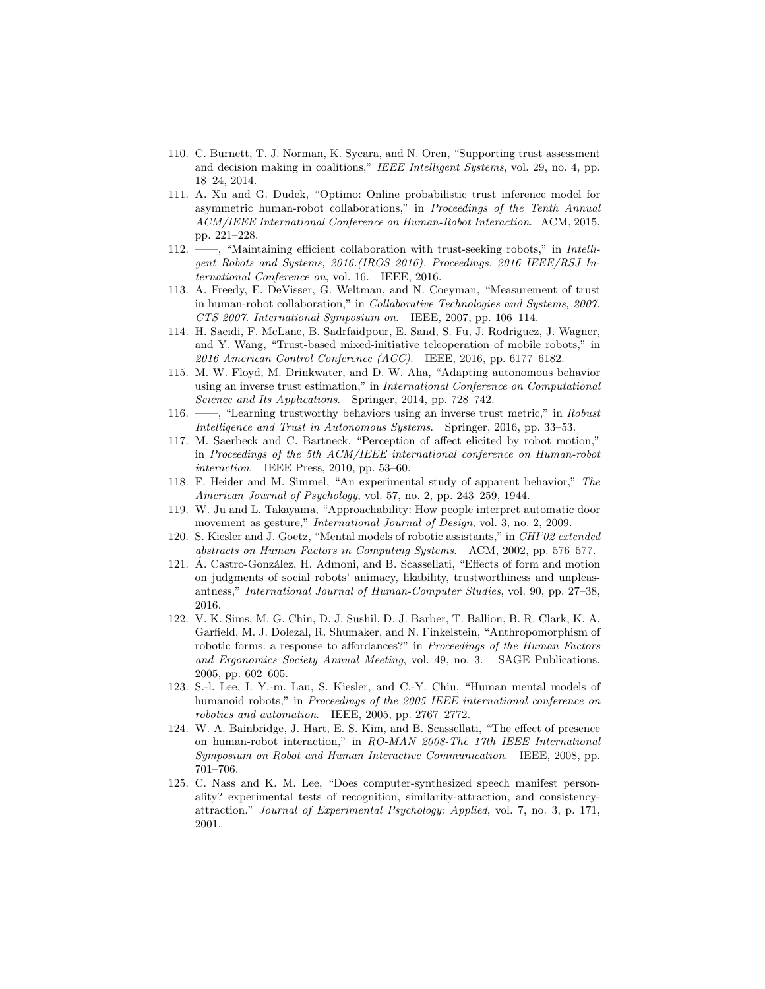- 110. C. Burnett, T. J. Norman, K. Sycara, and N. Oren, "Supporting trust assessment and decision making in coalitions," IEEE Intelligent Systems, vol. 29, no. 4, pp. 18–24, 2014.
- 111. A. Xu and G. Dudek, "Optimo: Online probabilistic trust inference model for asymmetric human-robot collaborations," in Proceedings of the Tenth Annual ACM/IEEE International Conference on Human-Robot Interaction. ACM, 2015, pp. 221–228.
- 112. ——, "Maintaining efficient collaboration with trust-seeking robots," in Intelligent Robots and Systems, 2016.(IROS 2016). Proceedings. 2016 IEEE/RSJ International Conference on, vol. 16. IEEE, 2016.
- 113. A. Freedy, E. DeVisser, G. Weltman, and N. Coeyman, "Measurement of trust in human-robot collaboration," in Collaborative Technologies and Systems, 2007. CTS 2007. International Symposium on. IEEE, 2007, pp. 106–114.
- 114. H. Saeidi, F. McLane, B. Sadrfaidpour, E. Sand, S. Fu, J. Rodriguez, J. Wagner, and Y. Wang, "Trust-based mixed-initiative teleoperation of mobile robots," in 2016 American Control Conference (ACC). IEEE, 2016, pp. 6177–6182.
- 115. M. W. Floyd, M. Drinkwater, and D. W. Aha, "Adapting autonomous behavior using an inverse trust estimation," in International Conference on Computational Science and Its Applications. Springer, 2014, pp. 728–742.
- 116. ——, "Learning trustworthy behaviors using an inverse trust metric," in Robust Intelligence and Trust in Autonomous Systems. Springer, 2016, pp. 33–53.
- 117. M. Saerbeck and C. Bartneck, "Perception of affect elicited by robot motion," in Proceedings of the 5th ACM/IEEE international conference on Human-robot interaction. IEEE Press, 2010, pp. 53–60.
- 118. F. Heider and M. Simmel, "An experimental study of apparent behavior," The American Journal of Psychology, vol. 57, no. 2, pp. 243–259, 1944.
- 119. W. Ju and L. Takayama, "Approachability: How people interpret automatic door movement as gesture," *International Journal of Design*, vol. 3, no. 2, 2009.
- 120. S. Kiesler and J. Goetz, "Mental models of robotic assistants," in CHI'02 extended abstracts on Human Factors in Computing Systems. ACM, 2002, pp. 576–577.
- 121. A. Castro-Gonz´alez, H. Admoni, and B. Scassellati, "Effects of form and motion ´ on judgments of social robots' animacy, likability, trustworthiness and unpleasantness," International Journal of Human-Computer Studies, vol. 90, pp. 27–38, 2016.
- 122. V. K. Sims, M. G. Chin, D. J. Sushil, D. J. Barber, T. Ballion, B. R. Clark, K. A. Garfield, M. J. Dolezal, R. Shumaker, and N. Finkelstein, "Anthropomorphism of robotic forms: a response to affordances?" in Proceedings of the Human Factors and Ergonomics Society Annual Meeting, vol. 49, no. 3. SAGE Publications, 2005, pp. 602–605.
- 123. S.-l. Lee, I. Y.-m. Lau, S. Kiesler, and C.-Y. Chiu, "Human mental models of humanoid robots," in *Proceedings of the 2005 IEEE international conference on* robotics and automation. IEEE, 2005, pp. 2767–2772.
- 124. W. A. Bainbridge, J. Hart, E. S. Kim, and B. Scassellati, "The effect of presence on human-robot interaction," in RO-MAN 2008-The 17th IEEE International Symposium on Robot and Human Interactive Communication. IEEE, 2008, pp. 701–706.
- 125. C. Nass and K. M. Lee, "Does computer-synthesized speech manifest personality? experimental tests of recognition, similarity-attraction, and consistencyattraction." Journal of Experimental Psychology: Applied, vol. 7, no. 3, p. 171, 2001.